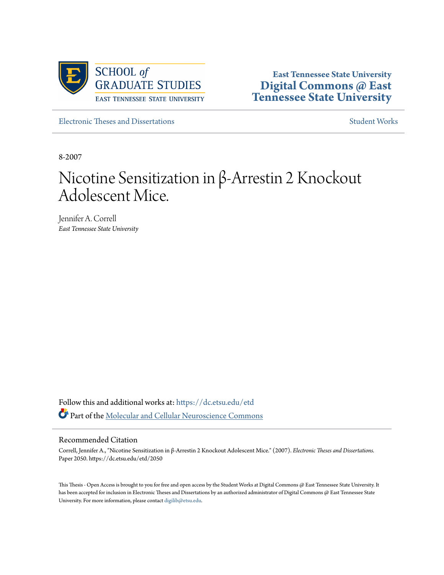

**East Tennessee State University [Digital Commons @ East](https://dc.etsu.edu?utm_source=dc.etsu.edu%2Fetd%2F2050&utm_medium=PDF&utm_campaign=PDFCoverPages) [Tennessee State University](https://dc.etsu.edu?utm_source=dc.etsu.edu%2Fetd%2F2050&utm_medium=PDF&utm_campaign=PDFCoverPages)**

[Electronic Theses and Dissertations](https://dc.etsu.edu/etd?utm_source=dc.etsu.edu%2Fetd%2F2050&utm_medium=PDF&utm_campaign=PDFCoverPages) [Student Works](https://dc.etsu.edu/student-works?utm_source=dc.etsu.edu%2Fetd%2F2050&utm_medium=PDF&utm_campaign=PDFCoverPages) Student Works Student Works

8-2007

# Nicotine Sensitization in β-Arrestin 2 Knockout Adolescent Mice.

Jennifer A. Correll *East Tennessee State University*

Follow this and additional works at: [https://dc.etsu.edu/etd](https://dc.etsu.edu/etd?utm_source=dc.etsu.edu%2Fetd%2F2050&utm_medium=PDF&utm_campaign=PDFCoverPages) Part of the [Molecular and Cellular Neuroscience Commons](http://network.bepress.com/hgg/discipline/60?utm_source=dc.etsu.edu%2Fetd%2F2050&utm_medium=PDF&utm_campaign=PDFCoverPages)

#### Recommended Citation

Correll, Jennifer A., "Nicotine Sensitization in β-Arrestin 2 Knockout Adolescent Mice." (2007). *Electronic Theses and Dissertations.* Paper 2050. https://dc.etsu.edu/etd/2050

This Thesis - Open Access is brought to you for free and open access by the Student Works at Digital Commons @ East Tennessee State University. It has been accepted for inclusion in Electronic Theses and Dissertations by an authorized administrator of Digital Commons @ East Tennessee State University. For more information, please contact [digilib@etsu.edu.](mailto:digilib@etsu.edu)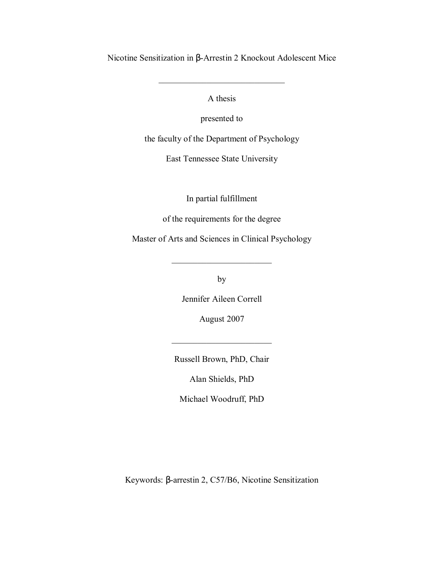Nicotine Sensitization in β-Arrestin 2 Knockout Adolescent Mice

A thesis

 $\mathcal{L}_\text{max}$ 

presented to

the faculty of the Department of Psychology

East Tennessee State University

In partial fulfillment

of the requirements for the degree

Master of Arts and Sciences in Clinical Psychology

by

 $\overline{\phantom{a}}$  , where  $\overline{\phantom{a}}$  , where  $\overline{\phantom{a}}$ 

Jennifer Aileen Correll

August 2007

Russell Brown, PhD, Chair

 $\mathcal{L}_\text{max}$ 

Alan Shields, PhD

Michael Woodruff, PhD

Keywords: β-arrestin 2, C57/B6, Nicotine Sensitization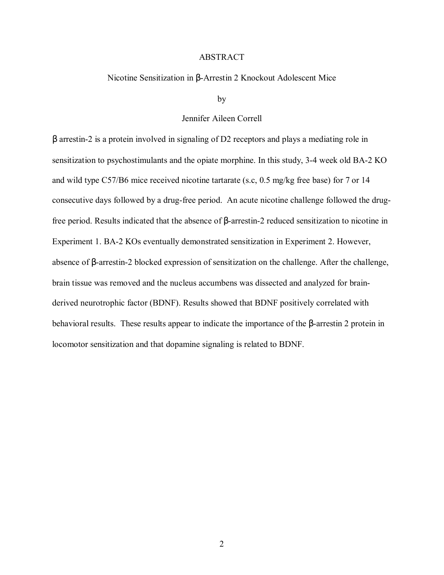#### ABSTRACT

### Nicotine Sensitization in β-Arrestin 2 Knockout Adolescent Mice

by

#### Jennifer Aileen Correll

β arrestin-2 is a protein involved in signaling of D2 receptors and plays a mediating role in sensitization to psychostimulants and the opiate morphine. In this study, 3-4 week old BA-2 KO and wild type C57/B6 mice received nicotine tartarate (s.c, 0.5 mg/kg free base) for 7 or 14 consecutive days followed by a drug-free period. An acute nicotine challenge followed the drugfree period. Results indicated that the absence of β-arrestin-2 reduced sensitization to nicotine in Experiment 1. BA-2 KOs eventually demonstrated sensitization in Experiment 2. However, absence of β-arrestin-2 blocked expression of sensitization on the challenge. After the challenge, brain tissue was removed and the nucleus accumbens was dissected and analyzed for brainderived neurotrophic factor (BDNF). Results showed that BDNF positively correlated with behavioral results. These results appear to indicate the importance of the β-arrestin 2 protein in locomotor sensitization and that dopamine signaling is related to BDNF.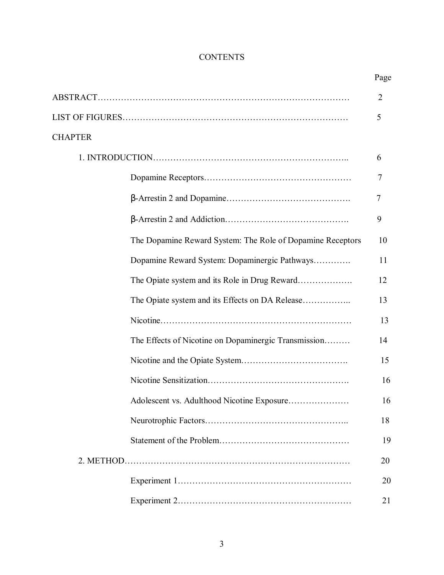# **CONTENTS**

|                |                                                            | Page           |
|----------------|------------------------------------------------------------|----------------|
|                |                                                            | $\overline{2}$ |
|                |                                                            | 5              |
| <b>CHAPTER</b> |                                                            |                |
|                |                                                            | 6              |
|                |                                                            | 7              |
|                |                                                            | 7              |
|                |                                                            | 9              |
|                | The Dopamine Reward System: The Role of Dopamine Receptors | 10             |
|                | Dopamine Reward System: Dopaminergic Pathways              | 11             |
|                |                                                            | 12             |
|                |                                                            | 13             |
|                |                                                            | 13             |
|                | The Effects of Nicotine on Dopaminergic Transmission       | 14             |
|                |                                                            | 15             |
|                |                                                            | 16             |
|                | Adolescent vs. Adulthood Nicotine Exposure                 | 16             |
|                |                                                            | 18             |
|                |                                                            | 19             |
|                |                                                            | 20             |
|                |                                                            | 20             |
|                |                                                            | 21             |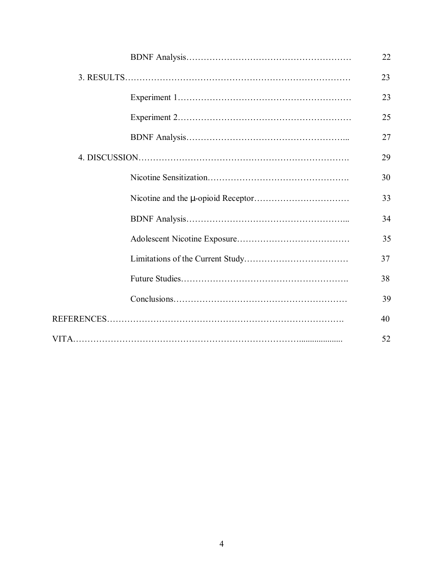|  |  | 22 |
|--|--|----|
|  |  | 23 |
|  |  | 23 |
|  |  | 25 |
|  |  | 27 |
|  |  | 29 |
|  |  | 30 |
|  |  | 33 |
|  |  | 34 |
|  |  | 35 |
|  |  | 37 |
|  |  | 38 |
|  |  | 39 |
|  |  | 40 |
|  |  | 52 |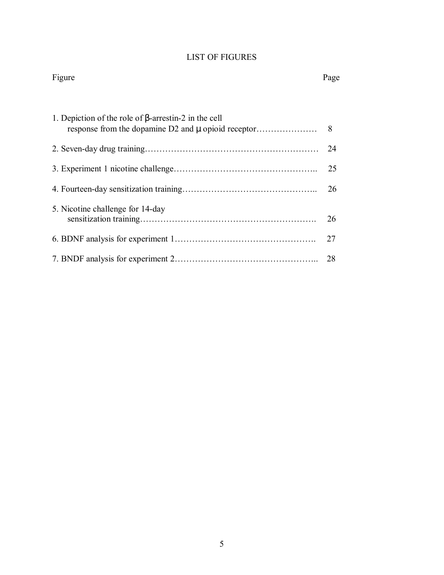# LIST OF FIGURES

#### Figure Page

| 1. Depiction of the role of $\beta$ -arrestin-2 in the cell |     |
|-------------------------------------------------------------|-----|
|                                                             | 24  |
|                                                             | 25  |
|                                                             | 26  |
| 5. Nicotine challenge for 14-day                            | 26  |
|                                                             | 27  |
|                                                             | -28 |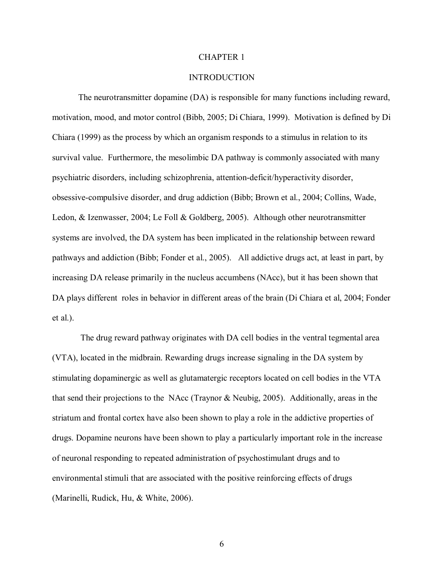#### CHAPTER 1

### **INTRODUCTION**

The neurotransmitter dopamine (DA) is responsible for many functions including reward, motivation, mood, and motor control (Bibb, 2005; Di Chiara, 1999). Motivation is defined by Di Chiara (1999) as the process by which an organism responds to a stimulus in relation to its survival value. Furthermore, the mesolimbic DA pathway is commonly associated with many psychiatric disorders, including schizophrenia, attention-deficit/hyperactivity disorder, obsessive-compulsive disorder, and drug addiction (Bibb; Brown et al., 2004; Collins, Wade, Ledon, & Izenwasser, 2004; Le Foll & Goldberg, 2005). Although other neurotransmitter systems are involved, the DA system has been implicated in the relationship between reward pathways and addiction (Bibb; Fonder et al., 2005). All addictive drugs act, at least in part, by increasing DA release primarily in the nucleus accumbens (NAcc), but it has been shown that DA plays different roles in behavior in different areas of the brain (Di Chiara et al, 2004; Fonder et al.).

 The drug reward pathway originates with DA cell bodies in the ventral tegmental area (VTA), located in the midbrain. Rewarding drugs increase signaling in the DA system by stimulating dopaminergic as well as glutamatergic receptors located on cell bodies in the VTA that send their projections to the NAcc (Traynor & Neubig, 2005). Additionally, areas in the striatum and frontal cortex have also been shown to play a role in the addictive properties of drugs. Dopamine neurons have been shown to play a particularly important role in the increase of neuronal responding to repeated administration of psychostimulant drugs and to environmental stimuli that are associated with the positive reinforcing effects of drugs (Marinelli, Rudick, Hu, & White, 2006).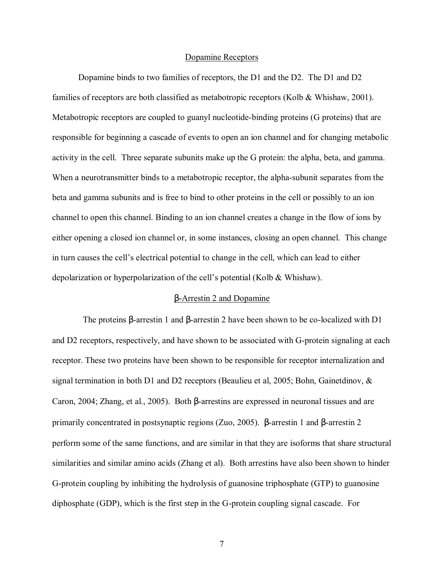#### Dopamine Receptors

Dopamine binds to two families of receptors, the D1 and the D2. The D1 and D2 families of receptors are both classified as metabotropic receptors (Kolb & Whishaw, 2001). Metabotropic receptors are coupled to guanyl nucleotide-binding proteins (G proteins) that are responsible for beginning a cascade of events to open an ion channel and for changing metabolic activity in the cell. Three separate subunits make up the G protein: the alpha, beta, and gamma. When a neurotransmitter binds to a metabotropic receptor, the alpha-subunit separates from the beta and gamma subunits and is free to bind to other proteins in the cell or possibly to an ion channel to open this channel. Binding to an ion channel creates a change in the flow of ions by either opening a closed ion channel or, in some instances, closing an open channel. This change in turn causes the cell's electrical potential to change in the cell, which can lead to either depolarization or hyperpolarization of the cell's potential (Kolb  $&$  Whishaw).

#### β-Arrestin 2 and Dopamine

 The proteins β-arrestin 1 and β-arrestin 2 have been shown to be co-localized with D1 and D2 receptors, respectively, and have shown to be associated with G-protein signaling at each receptor. These two proteins have been shown to be responsible for receptor internalization and signal termination in both D1 and D2 receptors (Beaulieu et al, 2005; Bohn, Gainetdinov, & Caron, 2004; Zhang, et al., 2005). Both β-arrestins are expressed in neuronal tissues and are primarily concentrated in postsynaptic regions (Zuo, 2005). β-arrestin 1 and β-arrestin 2 perform some of the same functions, and are similar in that they are isoforms that share structural similarities and similar amino acids (Zhang et al). Both arrestins have also been shown to hinder G-protein coupling by inhibiting the hydrolysis of guanosine triphosphate (GTP) to guanosine diphosphate (GDP), which is the first step in the G-protein coupling signal cascade. For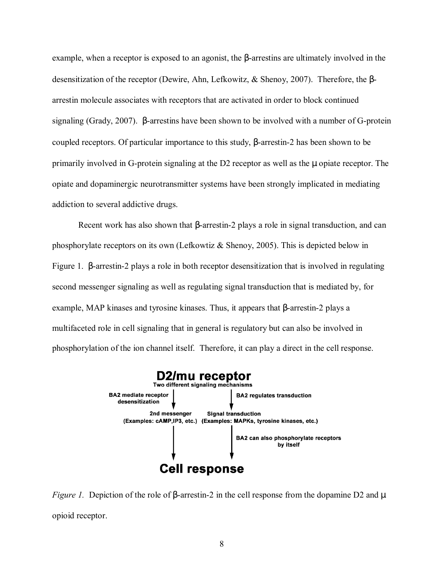example, when a receptor is exposed to an agonist, the β-arrestins are ultimately involved in the desensitization of the receptor (Dewire, Ahn, Lefkowitz, & Shenoy, 2007). Therefore, the βarrestin molecule associates with receptors that are activated in order to block continued signaling (Grady, 2007). β-arrestins have been shown to be involved with a number of G-protein coupled receptors. Of particular importance to this study, β-arrestin-2 has been shown to be primarily involved in G-protein signaling at the D2 receptor as well as the µ opiate receptor. The opiate and dopaminergic neurotransmitter systems have been strongly implicated in mediating addiction to several addictive drugs.

 Recent work has also shown that β-arrestin-2 plays a role in signal transduction, and can phosphorylate receptors on its own (Lefkowtiz & Shenoy, 2005). This is depicted below in Figure 1. β-arrestin-2 plays a role in both receptor desensitization that is involved in regulating second messenger signaling as well as regulating signal transduction that is mediated by, for example, MAP kinases and tyrosine kinases. Thus, it appears that β-arrestin-2 plays a multifaceted role in cell signaling that in general is regulatory but can also be involved in phosphorylation of the ion channel itself. Therefore, it can play a direct in the cell response.



*Figure 1.* Depiction of the role of β-arrestin-2 in the cell response from the dopamine D2 and μ opioid receptor.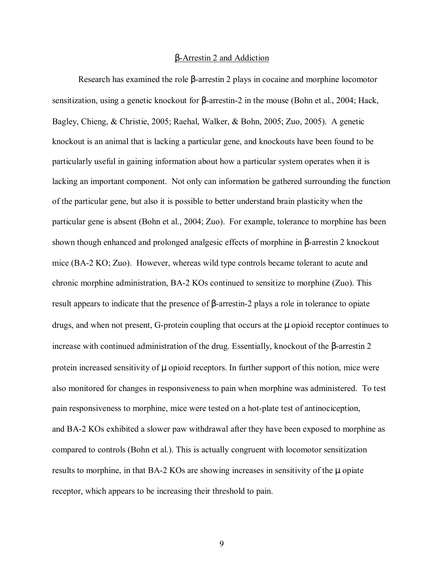#### β-Arrestin 2 and Addiction

 Research has examined the role β-arrestin 2 plays in cocaine and morphine locomotor sensitization, using a genetic knockout for β-arrestin-2 in the mouse (Bohn et al., 2004; Hack, Bagley, Chieng, & Christie, 2005; Raehal, Walker, & Bohn, 2005; Zuo, 2005). A genetic knockout is an animal that is lacking a particular gene, and knockouts have been found to be particularly useful in gaining information about how a particular system operates when it is lacking an important component. Not only can information be gathered surrounding the function of the particular gene, but also it is possible to better understand brain plasticity when the particular gene is absent (Bohn et al., 2004; Zuo). For example, tolerance to morphine has been shown though enhanced and prolonged analgesic effects of morphine in β-arrestin 2 knockout mice (BA-2 KO; Zuo). However, whereas wild type controls became tolerant to acute and chronic morphine administration, BA-2 KOs continued to sensitize to morphine (Zuo). This result appears to indicate that the presence of β-arrestin-2 plays a role in tolerance to opiate drugs, and when not present, G-protein coupling that occurs at the µ opioid receptor continues to increase with continued administration of the drug. Essentially, knockout of the β-arrestin 2 protein increased sensitivity of  $\mu$  opioid receptors. In further support of this notion, mice were also monitored for changes in responsiveness to pain when morphine was administered. To test pain responsiveness to morphine, mice were tested on a hot-plate test of antinociception, and BA-2 KOs exhibited a slower paw withdrawal after they have been exposed to morphine as compared to controls (Bohn et al.). This is actually congruent with locomotor sensitization results to morphine, in that BA-2 KOs are showing increases in sensitivity of the  $\mu$  opiate receptor, which appears to be increasing their threshold to pain.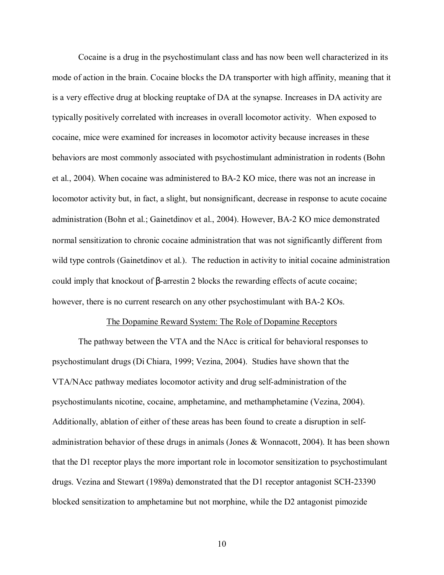Cocaine is a drug in the psychostimulant class and has now been well characterized in its mode of action in the brain. Cocaine blocks the DA transporter with high affinity, meaning that it is a very effective drug at blocking reuptake of DA at the synapse. Increases in DA activity are typically positively correlated with increases in overall locomotor activity. When exposed to cocaine, mice were examined for increases in locomotor activity because increases in these behaviors are most commonly associated with psychostimulant administration in rodents (Bohn et al., 2004). When cocaine was administered to BA-2 KO mice, there was not an increase in locomotor activity but, in fact, a slight, but nonsignificant, decrease in response to acute cocaine administration (Bohn et al.; Gainetdinov et al., 2004). However, BA-2 KO mice demonstrated normal sensitization to chronic cocaine administration that was not significantly different from wild type controls (Gainetdinov et al.). The reduction in activity to initial cocaine administration could imply that knockout of β-arrestin 2 blocks the rewarding effects of acute cocaine; however, there is no current research on any other psychostimulant with BA-2 KOs.

#### The Dopamine Reward System: The Role of Dopamine Receptors

The pathway between the VTA and the NAcc is critical for behavioral responses to psychostimulant drugs (Di Chiara, 1999; Vezina, 2004). Studies have shown that the VTA/NAcc pathway mediates locomotor activity and drug self-administration of the psychostimulants nicotine, cocaine, amphetamine, and methamphetamine (Vezina, 2004). Additionally, ablation of either of these areas has been found to create a disruption in selfadministration behavior of these drugs in animals (Jones & Wonnacott, 2004). It has been shown that the D1 receptor plays the more important role in locomotor sensitization to psychostimulant drugs. Vezina and Stewart (1989a) demonstrated that the D1 receptor antagonist SCH-23390 blocked sensitization to amphetamine but not morphine, while the D2 antagonist pimozide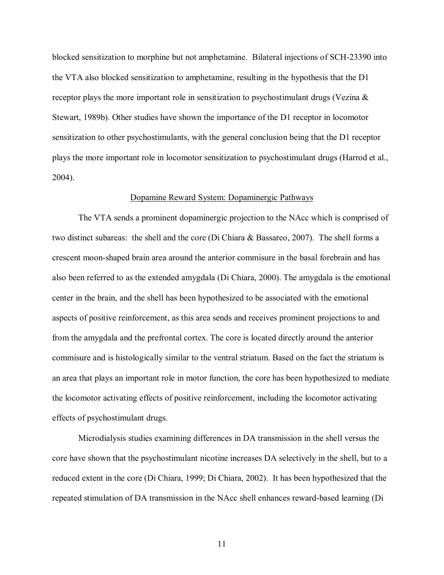blocked sensitization to morphine but not amphetamine. Bilateral injections of SCH-23390 into the VTA also blocked sensitization to amphetamine, resulting in the hypothesis that the D1 receptor plays the more important role in sensitization to psychostimulant drugs (Vezina  $\&$ Stewart, 1989b). Other studies have shown the importance of the D1 receptor in locomotor sensitization to other psychostimulants, with the general conclusion being that the D1 receptor plays the more important role in locomotor sensitization to psychostimulant drugs (Harrod et al., 2004).

#### Dopamine Reward System: Dopaminergic Pathways

The VTA sends a prominent dopaminergic projection to the NAcc which is comprised of two distinct subareas: the shell and the core (Di Chiara & Bassareo, 2007). The shell forms a crescent moon-shaped brain area around the anterior commisure in the basal forebrain and has also been referred to as the extended amygdala (Di Chiara, 2000). The amygdala is the emotional center in the brain, and the shell has been hypothesized to be associated with the emotional aspects of positive reinforcement, as this area sends and receives prominent projections to and from the amygdala and the prefrontal cortex. The core is located directly around the anterior commisure and is histologically similar to the ventral striatum. Based on the fact the striatum is an area that plays an important role in motor function, the core has been hypothesized to mediate the locomotor activating effects of positive reinforcement, including the locomotor activating effects of psychostimulant drugs.

Microdialysis studies examining differences in DA transmission in the shell versus the core have shown that the psychostimulant nicotine increases DA selectively in the shell, but to a reduced extent in the core (Di Chiara, 1999; Di Chiara, 2002). It has been hypothesized that the repeated stimulation of DA transmission in the NAcc shell enhances reward-based learning (Di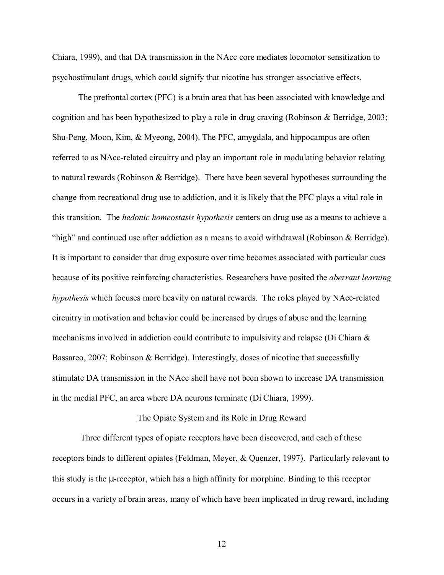Chiara, 1999), and that DA transmission in the NAcc core mediates locomotor sensitization to psychostimulant drugs, which could signify that nicotine has stronger associative effects.

The prefrontal cortex (PFC) is a brain area that has been associated with knowledge and cognition and has been hypothesized to play a role in drug craving (Robinson & Berridge, 2003; Shu-Peng, Moon, Kim, & Myeong, 2004). The PFC, amygdala, and hippocampus are often referred to as NAcc-related circuitry and play an important role in modulating behavior relating to natural rewards (Robinson & Berridge). There have been several hypotheses surrounding the change from recreational drug use to addiction, and it is likely that the PFC plays a vital role in this transition. The *hedonic homeostasis hypothesis* centers on drug use as a means to achieve a "high" and continued use after addiction as a means to avoid withdrawal (Robinson  $&$  Berridge). It is important to consider that drug exposure over time becomes associated with particular cues because of its positive reinforcing characteristics. Researchers have posited the *aberrant learning hypothesis* which focuses more heavily on natural rewards. The roles played by NAcc-related circuitry in motivation and behavior could be increased by drugs of abuse and the learning mechanisms involved in addiction could contribute to impulsivity and relapse (Di Chiara & Bassareo, 2007; Robinson & Berridge). Interestingly, doses of nicotine that successfully stimulate DA transmission in the NAcc shell have not been shown to increase DA transmission in the medial PFC, an area where DA neurons terminate (Di Chiara, 1999).

#### The Opiate System and its Role in Drug Reward

Three different types of opiate receptors have been discovered, and each of these receptors binds to different opiates (Feldman, Meyer, & Quenzer, 1997). Particularly relevant to this study is the µ-receptor, which has a high affinity for morphine. Binding to this receptor occurs in a variety of brain areas, many of which have been implicated in drug reward, including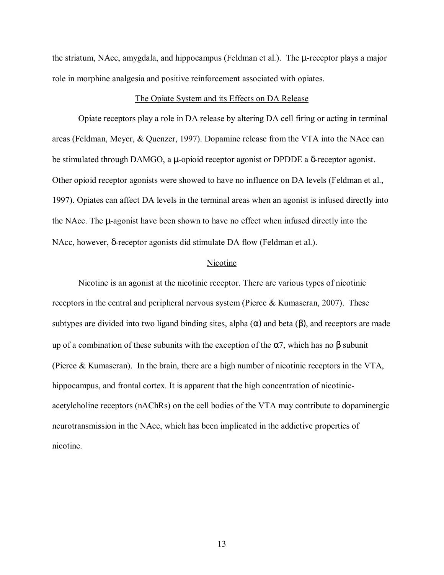the striatum, NAcc, amygdala, and hippocampus (Feldman et al.). The µ-receptor plays a major role in morphine analgesia and positive reinforcement associated with opiates.

#### The Opiate System and its Effects on DA Release

 Opiate receptors play a role in DA release by altering DA cell firing or acting in terminal areas (Feldman, Meyer, & Quenzer, 1997). Dopamine release from the VTA into the NAcc can be stimulated through DAMGO, a µ-opioid receptor agonist or DPDDE a δ-receptor agonist. Other opioid receptor agonists were showed to have no influence on DA levels (Feldman et al., 1997). Opiates can affect DA levels in the terminal areas when an agonist is infused directly into the NAcc. The µ-agonist have been shown to have no effect when infused directly into the NAcc, however, δ-receptor agonists did stimulate DA flow (Feldman et al.).

#### Nicotine

Nicotine is an agonist at the nicotinic receptor. There are various types of nicotinic receptors in the central and peripheral nervous system (Pierce & Kumaseran, 2007). These subtypes are divided into two ligand binding sites, alpha  $(\alpha)$  and beta  $(\beta)$ , and receptors are made up of a combination of these subunits with the exception of the  $\alpha$ 7, which has no  $\beta$  subunit (Pierce & Kumaseran). In the brain, there are a high number of nicotinic receptors in the VTA, hippocampus, and frontal cortex. It is apparent that the high concentration of nicotinicacetylcholine receptors (nAChRs) on the cell bodies of the VTA may contribute to dopaminergic neurotransmission in the NAcc, which has been implicated in the addictive properties of nicotine.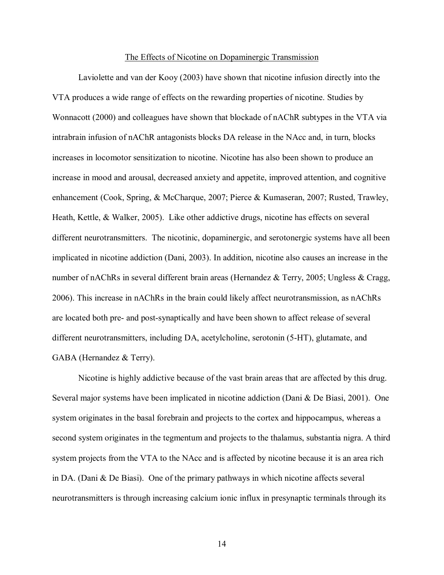#### The Effects of Nicotine on Dopaminergic Transmission

Laviolette and van der Kooy (2003) have shown that nicotine infusion directly into the VTA produces a wide range of effects on the rewarding properties of nicotine. Studies by Wonnacott (2000) and colleagues have shown that blockade of nAChR subtypes in the VTA via intrabrain infusion of nAChR antagonists blocks DA release in the NAcc and, in turn, blocks increases in locomotor sensitization to nicotine. Nicotine has also been shown to produce an increase in mood and arousal, decreased anxiety and appetite, improved attention, and cognitive enhancement (Cook, Spring, & McCharque, 2007; Pierce & Kumaseran, 2007; Rusted, Trawley, Heath, Kettle, & Walker, 2005). Like other addictive drugs, nicotine has effects on several different neurotransmitters. The nicotinic, dopaminergic, and serotonergic systems have all been implicated in nicotine addiction (Dani, 2003). In addition, nicotine also causes an increase in the number of nAChRs in several different brain areas (Hernandez & Terry, 2005; Ungless & Cragg, 2006). This increase in nAChRs in the brain could likely affect neurotransmission, as nAChRs are located both pre- and post-synaptically and have been shown to affect release of several different neurotransmitters, including DA, acetylcholine, serotonin (5-HT), glutamate, and GABA (Hernandez & Terry).

Nicotine is highly addictive because of the vast brain areas that are affected by this drug. Several major systems have been implicated in nicotine addiction (Dani & De Biasi, 2001). One system originates in the basal forebrain and projects to the cortex and hippocampus, whereas a second system originates in the tegmentum and projects to the thalamus, substantia nigra. A third system projects from the VTA to the NAcc and is affected by nicotine because it is an area rich in DA. (Dani & De Biasi). One of the primary pathways in which nicotine affects several neurotransmitters is through increasing calcium ionic influx in presynaptic terminals through its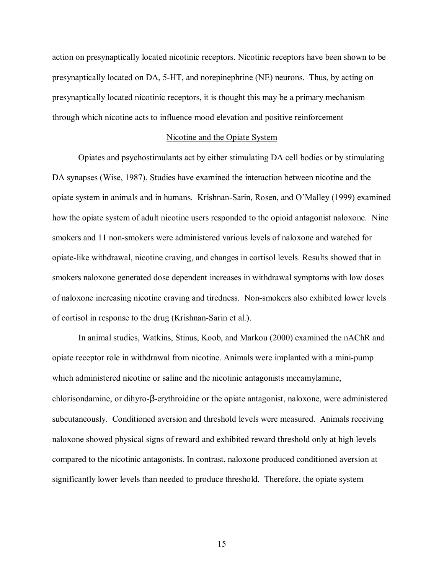action on presynaptically located nicotinic receptors. Nicotinic receptors have been shown to be presynaptically located on DA, 5-HT, and norepinephrine (NE) neurons. Thus, by acting on presynaptically located nicotinic receptors, it is thought this may be a primary mechanism through which nicotine acts to influence mood elevation and positive reinforcement

#### Nicotine and the Opiate System

 Opiates and psychostimulants act by either stimulating DA cell bodies or by stimulating DA synapses (Wise, 1987). Studies have examined the interaction between nicotine and the opiate system in animals and in humans. Krishnan-Sarin, Rosen, and O'Malley (1999) examined how the opiate system of adult nicotine users responded to the opioid antagonist naloxone. Nine smokers and 11 non-smokers were administered various levels of naloxone and watched for opiate-like withdrawal, nicotine craving, and changes in cortisol levels. Results showed that in smokers naloxone generated dose dependent increases in withdrawal symptoms with low doses of naloxone increasing nicotine craving and tiredness. Non-smokers also exhibited lower levels of cortisol in response to the drug (Krishnan-Sarin et al.).

 In animal studies, Watkins, Stinus, Koob, and Markou (2000) examined the nAChR and opiate receptor role in withdrawal from nicotine. Animals were implanted with a mini-pump which administered nicotine or saline and the nicotinic antagonists mecamylamine, chlorisondamine, or dihyro-β-erythroidine or the opiate antagonist, naloxone, were administered subcutaneously. Conditioned aversion and threshold levels were measured. Animals receiving naloxone showed physical signs of reward and exhibited reward threshold only at high levels compared to the nicotinic antagonists. In contrast, naloxone produced conditioned aversion at significantly lower levels than needed to produce threshold. Therefore, the opiate system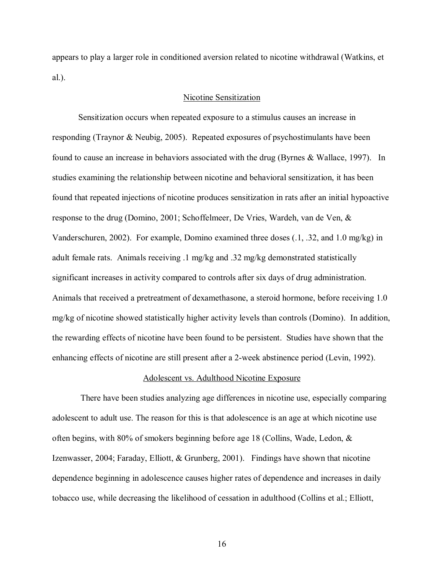appears to play a larger role in conditioned aversion related to nicotine withdrawal (Watkins, et al.).

#### Nicotine Sensitization

Sensitization occurs when repeated exposure to a stimulus causes an increase in responding (Traynor & Neubig, 2005). Repeated exposures of psychostimulants have been found to cause an increase in behaviors associated with the drug (Byrnes & Wallace, 1997). In studies examining the relationship between nicotine and behavioral sensitization, it has been found that repeated injections of nicotine produces sensitization in rats after an initial hypoactive response to the drug (Domino, 2001; Schoffelmeer, De Vries, Wardeh, van de Ven, & Vanderschuren, 2002). For example, Domino examined three doses (.1, .32, and 1.0 mg/kg) in adult female rats. Animals receiving .1 mg/kg and .32 mg/kg demonstrated statistically significant increases in activity compared to controls after six days of drug administration. Animals that received a pretreatment of dexamethasone, a steroid hormone, before receiving 1.0 mg/kg of nicotine showed statistically higher activity levels than controls (Domino). In addition, the rewarding effects of nicotine have been found to be persistent. Studies have shown that the enhancing effects of nicotine are still present after a 2-week abstinence period (Levin, 1992).

#### Adolescent vs. Adulthood Nicotine Exposure

 There have been studies analyzing age differences in nicotine use, especially comparing adolescent to adult use. The reason for this is that adolescence is an age at which nicotine use often begins, with 80% of smokers beginning before age 18 (Collins, Wade, Ledon,  $\&$ Izenwasser, 2004; Faraday, Elliott, & Grunberg, 2001). Findings have shown that nicotine dependence beginning in adolescence causes higher rates of dependence and increases in daily tobacco use, while decreasing the likelihood of cessation in adulthood (Collins et al.; Elliott,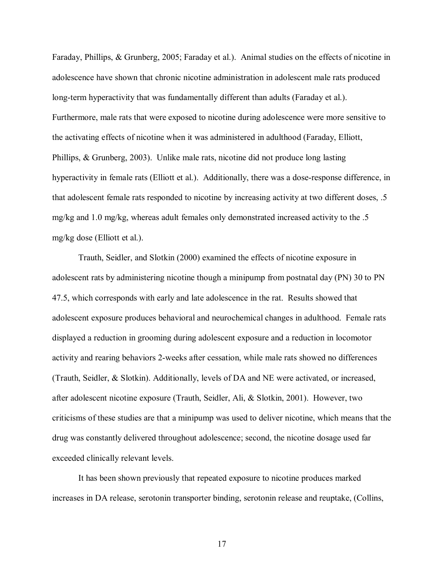Faraday, Phillips, & Grunberg, 2005; Faraday et al.). Animal studies on the effects of nicotine in adolescence have shown that chronic nicotine administration in adolescent male rats produced long-term hyperactivity that was fundamentally different than adults (Faraday et al.). Furthermore, male rats that were exposed to nicotine during adolescence were more sensitive to the activating effects of nicotine when it was administered in adulthood (Faraday, Elliott, Phillips, & Grunberg, 2003). Unlike male rats, nicotine did not produce long lasting hyperactivity in female rats (Elliott et al.). Additionally, there was a dose-response difference, in that adolescent female rats responded to nicotine by increasing activity at two different doses, .5 mg/kg and 1.0 mg/kg, whereas adult females only demonstrated increased activity to the .5 mg/kg dose (Elliott et al.).

Trauth, Seidler, and Slotkin (2000) examined the effects of nicotine exposure in adolescent rats by administering nicotine though a minipump from postnatal day (PN) 30 to PN 47.5, which corresponds with early and late adolescence in the rat. Results showed that adolescent exposure produces behavioral and neurochemical changes in adulthood. Female rats displayed a reduction in grooming during adolescent exposure and a reduction in locomotor activity and rearing behaviors 2-weeks after cessation, while male rats showed no differences (Trauth, Seidler, & Slotkin). Additionally, levels of DA and NE were activated, or increased, after adolescent nicotine exposure (Trauth, Seidler, Ali, & Slotkin, 2001). However, two criticisms of these studies are that a minipump was used to deliver nicotine, which means that the drug was constantly delivered throughout adolescence; second, the nicotine dosage used far exceeded clinically relevant levels.

It has been shown previously that repeated exposure to nicotine produces marked increases in DA release, serotonin transporter binding, serotonin release and reuptake, (Collins,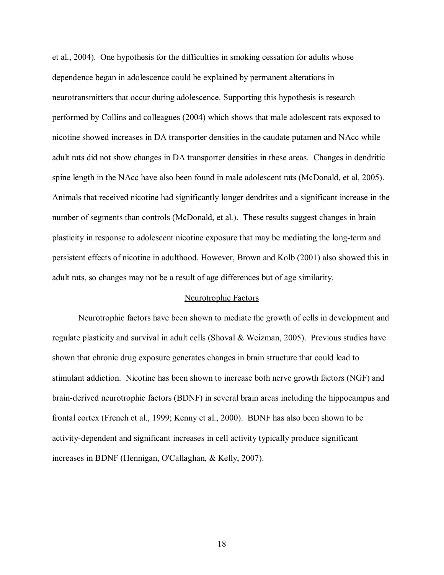et al., 2004). One hypothesis for the difficulties in smoking cessation for adults whose dependence began in adolescence could be explained by permanent alterations in neurotransmitters that occur during adolescence. Supporting this hypothesis is research performed by Collins and colleagues (2004) which shows that male adolescent rats exposed to nicotine showed increases in DA transporter densities in the caudate putamen and NAcc while adult rats did not show changes in DA transporter densities in these areas. Changes in dendritic spine length in the NAcc have also been found in male adolescent rats (McDonald, et al, 2005). Animals that received nicotine had significantly longer dendrites and a significant increase in the number of segments than controls (McDonald, et al.). These results suggest changes in brain plasticity in response to adolescent nicotine exposure that may be mediating the long-term and persistent effects of nicotine in adulthood. However, Brown and Kolb (2001) also showed this in adult rats, so changes may not be a result of age differences but of age similarity.

#### Neurotrophic Factors

Neurotrophic factors have been shown to mediate the growth of cells in development and regulate plasticity and survival in adult cells (Shoval & Weizman, 2005). Previous studies have shown that chronic drug exposure generates changes in brain structure that could lead to stimulant addiction. Nicotine has been shown to increase both nerve growth factors (NGF) and brain-derived neurotrophic factors (BDNF) in several brain areas including the hippocampus and frontal cortex (French et al., 1999; Kenny et al., 2000). BDNF has also been shown to be activity-dependent and significant increases in cell activity typically produce significant increases in BDNF (Hennigan, O'Callaghan, & Kelly, 2007).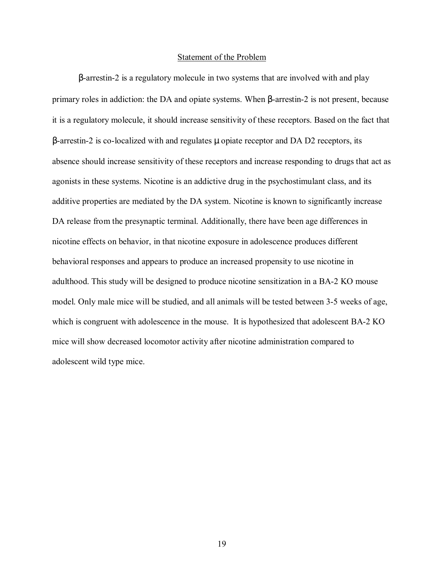#### Statement of the Problem

β-arrestin-2 is a regulatory molecule in two systems that are involved with and play primary roles in addiction: the DA and opiate systems. When β-arrestin-2 is not present, because it is a regulatory molecule, it should increase sensitivity of these receptors. Based on the fact that β-arrestin-2 is co-localized with and regulates µ opiate receptor and DA D2 receptors, its absence should increase sensitivity of these receptors and increase responding to drugs that act as agonists in these systems. Nicotine is an addictive drug in the psychostimulant class, and its additive properties are mediated by the DA system. Nicotine is known to significantly increase DA release from the presynaptic terminal. Additionally, there have been age differences in nicotine effects on behavior, in that nicotine exposure in adolescence produces different behavioral responses and appears to produce an increased propensity to use nicotine in adulthood. This study will be designed to produce nicotine sensitization in a BA-2 KO mouse model. Only male mice will be studied, and all animals will be tested between 3-5 weeks of age, which is congruent with adolescence in the mouse. It is hypothesized that adolescent BA-2 KO mice will show decreased locomotor activity after nicotine administration compared to adolescent wild type mice.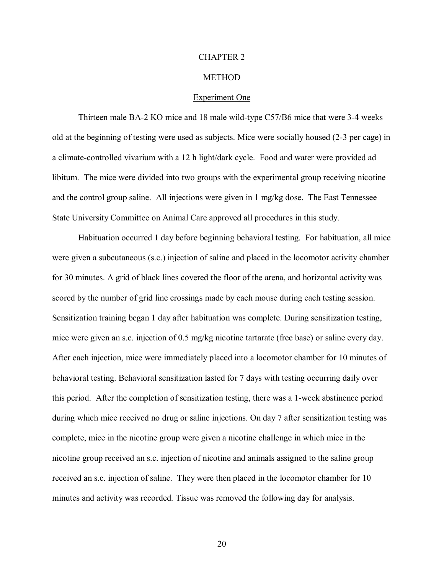#### CHAPTER 2

#### **METHOD**

#### Experiment One

 Thirteen male BA-2 KO mice and 18 male wild-type C57/B6 mice that were 3-4 weeks old at the beginning of testing were used as subjects. Mice were socially housed (2-3 per cage) in a climate-controlled vivarium with a 12 h light/dark cycle. Food and water were provided ad libitum. The mice were divided into two groups with the experimental group receiving nicotine and the control group saline. All injections were given in 1 mg/kg dose. The East Tennessee State University Committee on Animal Care approved all procedures in this study.

Habituation occurred 1 day before beginning behavioral testing. For habituation, all mice were given a subcutaneous (s.c.) injection of saline and placed in the locomotor activity chamber for 30 minutes. A grid of black lines covered the floor of the arena, and horizontal activity was scored by the number of grid line crossings made by each mouse during each testing session. Sensitization training began 1 day after habituation was complete. During sensitization testing, mice were given an s.c. injection of 0.5 mg/kg nicotine tartarate (free base) or saline every day. After each injection, mice were immediately placed into a locomotor chamber for 10 minutes of behavioral testing. Behavioral sensitization lasted for 7 days with testing occurring daily over this period. After the completion of sensitization testing, there was a 1-week abstinence period during which mice received no drug or saline injections. On day 7 after sensitization testing was complete, mice in the nicotine group were given a nicotine challenge in which mice in the nicotine group received an s.c. injection of nicotine and animals assigned to the saline group received an s.c. injection of saline. They were then placed in the locomotor chamber for 10 minutes and activity was recorded. Tissue was removed the following day for analysis.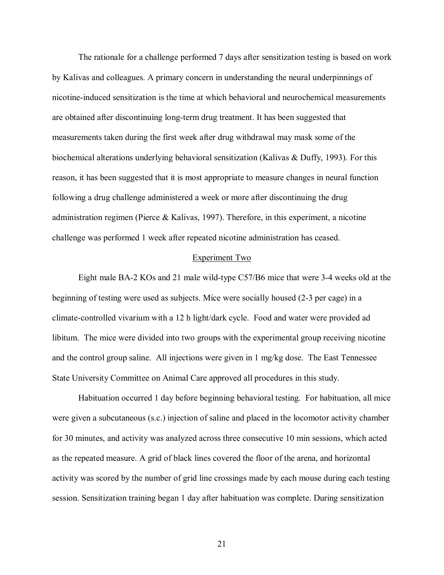The rationale for a challenge performed 7 days after sensitization testing is based on work by Kalivas and colleagues. A primary concern in understanding the neural underpinnings of nicotine-induced sensitization is the time at which behavioral and neurochemical measurements are obtained after discontinuing long-term drug treatment. It has been suggested that measurements taken during the first week after drug withdrawal may mask some of the biochemical alterations underlying behavioral sensitization (Kalivas & Duffy, 1993). For this reason, it has been suggested that it is most appropriate to measure changes in neural function following a drug challenge administered a week or more after discontinuing the drug administration regimen (Pierce & Kalivas, 1997). Therefore, in this experiment, a nicotine challenge was performed 1 week after repeated nicotine administration has ceased.

#### Experiment Two

Eight male BA-2 KOs and 21 male wild-type C57/B6 mice that were 3-4 weeks old at the beginning of testing were used as subjects. Mice were socially housed (2-3 per cage) in a climate-controlled vivarium with a 12 h light/dark cycle. Food and water were provided ad libitum. The mice were divided into two groups with the experimental group receiving nicotine and the control group saline. All injections were given in 1 mg/kg dose. The East Tennessee State University Committee on Animal Care approved all procedures in this study.

Habituation occurred 1 day before beginning behavioral testing. For habituation, all mice were given a subcutaneous (s.c.) injection of saline and placed in the locomotor activity chamber for 30 minutes, and activity was analyzed across three consecutive 10 min sessions, which acted as the repeated measure. A grid of black lines covered the floor of the arena, and horizontal activity was scored by the number of grid line crossings made by each mouse during each testing session. Sensitization training began 1 day after habituation was complete. During sensitization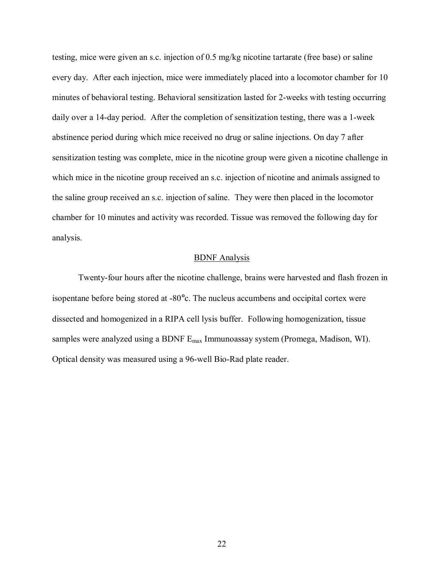testing, mice were given an s.c. injection of 0.5 mg/kg nicotine tartarate (free base) or saline every day. After each injection, mice were immediately placed into a locomotor chamber for 10 minutes of behavioral testing. Behavioral sensitization lasted for 2-weeks with testing occurring daily over a 14-day period. After the completion of sensitization testing, there was a 1-week abstinence period during which mice received no drug or saline injections. On day 7 after sensitization testing was complete, mice in the nicotine group were given a nicotine challenge in which mice in the nicotine group received an s.c. injection of nicotine and animals assigned to the saline group received an s.c. injection of saline. They were then placed in the locomotor chamber for 10 minutes and activity was recorded. Tissue was removed the following day for analysis.

#### BDNF Analysis

Twenty-four hours after the nicotine challenge, brains were harvested and flash frozen in isopentane before being stored at -80°c. The nucleus accumbens and occipital cortex were dissected and homogenized in a RIPA cell lysis buffer. Following homogenization, tissue samples were analyzed using a BDNF Emax Immunoassay system (Promega, Madison, WI). Optical density was measured using a 96-well Bio-Rad plate reader.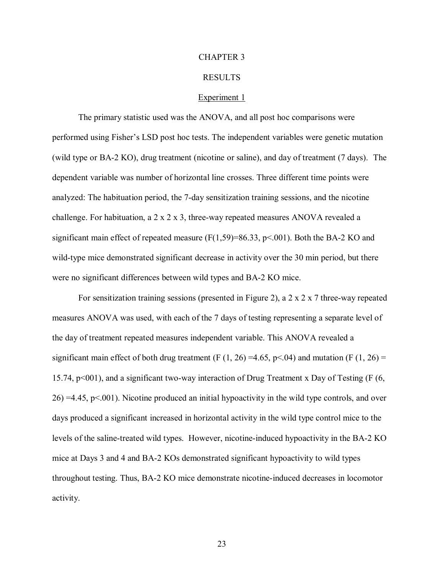#### CHAPTER 3

#### RESULTS

#### Experiment 1

The primary statistic used was the ANOVA, and all post hoc comparisons were performed using Fisher's LSD post hoc tests. The independent variables were genetic mutation (wild type or BA-2 KO), drug treatment (nicotine or saline), and day of treatment (7 days). The dependent variable was number of horizontal line crosses. Three different time points were analyzed: The habituation period, the 7-day sensitization training sessions, and the nicotine challenge. For habituation, a 2 x 2 x 3, three-way repeated measures ANOVA revealed a significant main effect of repeated measure  $(F(1,59)=86.33, p<.001)$ . Both the BA-2 KO and wild-type mice demonstrated significant decrease in activity over the 30 min period, but there were no significant differences between wild types and BA-2 KO mice.

For sensitization training sessions (presented in Figure 2), a 2 x 2 x 7 three-way repeated measures ANOVA was used, with each of the 7 days of testing representing a separate level of the day of treatment repeated measures independent variable. This ANOVA revealed a significant main effect of both drug treatment (F  $(1, 26) = 4.65$ , p<.04) and mutation (F  $(1, 26) =$ 15.74, p<001), and a significant two-way interaction of Drug Treatment x Day of Testing (F (6,  $26$ ) =4.45, p<.001). Nicotine produced an initial hypoactivity in the wild type controls, and over days produced a significant increased in horizontal activity in the wild type control mice to the levels of the saline-treated wild types. However, nicotine-induced hypoactivity in the BA-2 KO mice at Days 3 and 4 and BA-2 KOs demonstrated significant hypoactivity to wild types throughout testing. Thus, BA-2 KO mice demonstrate nicotine-induced decreases in locomotor activity.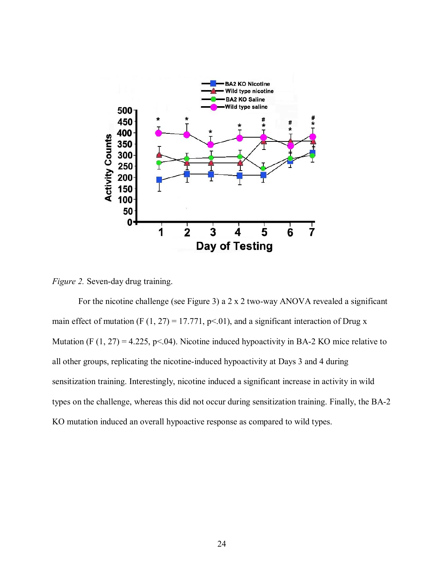

*Figure 2.* Seven-day drug training.

For the nicotine challenge (see Figure 3) a 2 x 2 two-way ANOVA revealed a significant main effect of mutation (F  $(1, 27) = 17.771$ , p<.01), and a significant interaction of Drug x Mutation (F  $(1, 27) = 4.225$ , p<.04). Nicotine induced hypoactivity in BA-2 KO mice relative to all other groups, replicating the nicotine-induced hypoactivity at Days 3 and 4 during sensitization training. Interestingly, nicotine induced a significant increase in activity in wild types on the challenge, whereas this did not occur during sensitization training. Finally, the BA-2 KO mutation induced an overall hypoactive response as compared to wild types.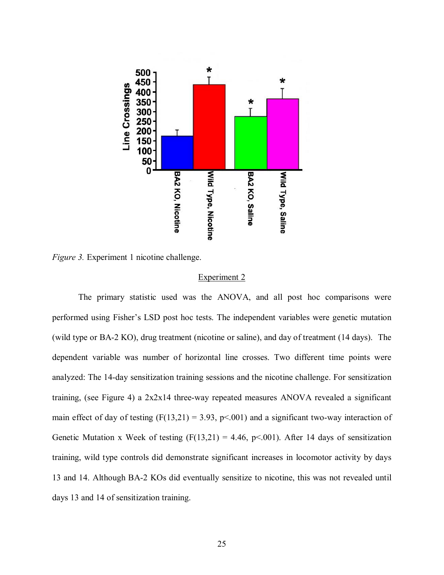

*Figure 3.* Experiment 1 nicotine challenge.

#### Experiment 2

The primary statistic used was the ANOVA, and all post hoc comparisons were performed using Fisher's LSD post hoc tests. The independent variables were genetic mutation (wild type or BA-2 KO), drug treatment (nicotine or saline), and day of treatment (14 days). The dependent variable was number of horizontal line crosses. Two different time points were analyzed: The 14-day sensitization training sessions and the nicotine challenge. For sensitization training, (see Figure 4) a 2x2x14 three-way repeated measures ANOVA revealed a significant main effect of day of testing  $(F(13,21) = 3.93, p \le 0.001)$  and a significant two-way interaction of Genetic Mutation x Week of testing  $(F(13,21) = 4.46, p \le 0.001)$ . After 14 days of sensitization training, wild type controls did demonstrate significant increases in locomotor activity by days 13 and 14. Although BA-2 KOs did eventually sensitize to nicotine, this was not revealed until days 13 and 14 of sensitization training.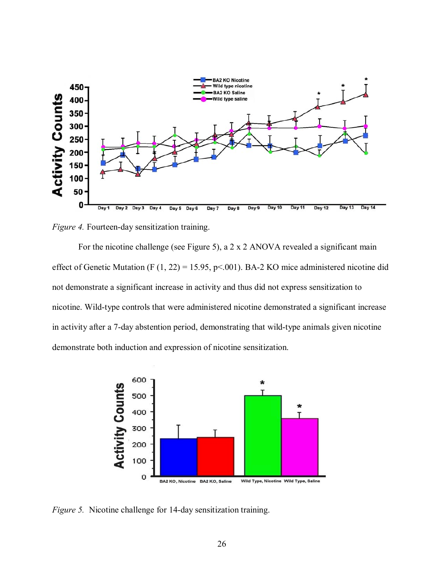

*Figure 4.* Fourteen-day sensitization training.

For the nicotine challenge (see Figure 5), a 2 x 2 ANOVA revealed a significant main effect of Genetic Mutation (F  $(1, 22) = 15.95$ , p<.001). BA-2 KO mice administered nicotine did not demonstrate a significant increase in activity and thus did not express sensitization to nicotine. Wild-type controls that were administered nicotine demonstrated a significant increase in activity after a 7-day abstention period, demonstrating that wild-type animals given nicotine demonstrate both induction and expression of nicotine sensitization.



*Figure 5.* Nicotine challenge for 14-day sensitization training.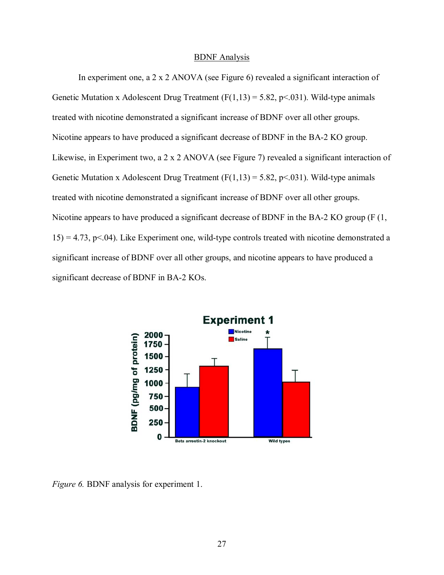#### BDNF Analysis

In experiment one, a 2 x 2 ANOVA (see Figure 6) revealed a significant interaction of Genetic Mutation x Adolescent Drug Treatment  $(F(1,13) = 5.82, p \le 0.031)$ . Wild-type animals treated with nicotine demonstrated a significant increase of BDNF over all other groups. Nicotine appears to have produced a significant decrease of BDNF in the BA-2 KO group. Likewise, in Experiment two, a 2 x 2 ANOVA (see Figure 7) revealed a significant interaction of Genetic Mutation x Adolescent Drug Treatment  $(F(1,13) = 5.82, p < 0.031)$ . Wild-type animals treated with nicotine demonstrated a significant increase of BDNF over all other groups. Nicotine appears to have produced a significant decrease of BDNF in the BA-2 KO group (F (1,  $15$ ) = 4.73, p<.04). Like Experiment one, wild-type controls treated with nicotine demonstrated a significant increase of BDNF over all other groups, and nicotine appears to have produced a significant decrease of BDNF in BA-2 KOs.



*Figure 6.* BDNF analysis for experiment 1.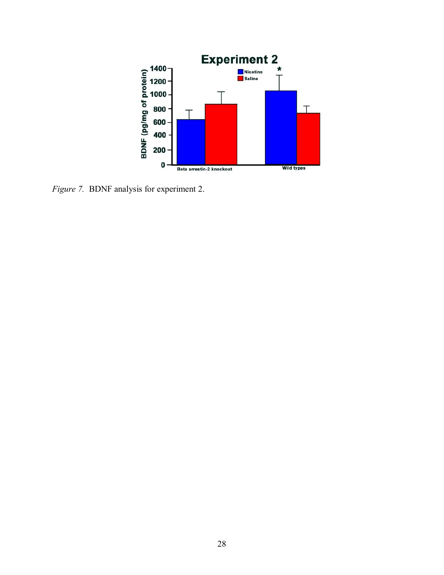

*Figure 7.* BDNF analysis for experiment 2.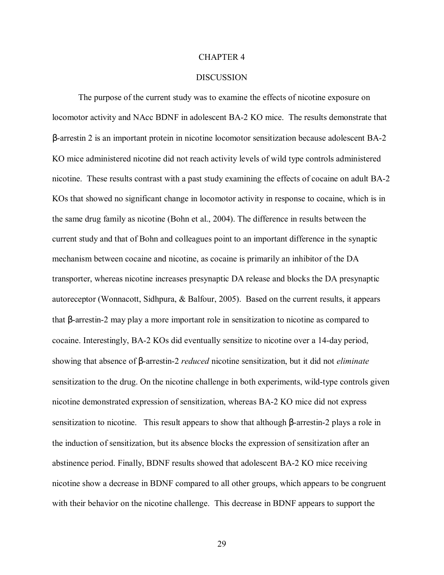#### CHAPTER 4

#### **DISCUSSION**

 The purpose of the current study was to examine the effects of nicotine exposure on locomotor activity and NAcc BDNF in adolescent BA-2 KO mice. The results demonstrate that β-arrestin 2 is an important protein in nicotine locomotor sensitization because adolescent BA-2 KO mice administered nicotine did not reach activity levels of wild type controls administered nicotine. These results contrast with a past study examining the effects of cocaine on adult BA-2 KOs that showed no significant change in locomotor activity in response to cocaine, which is in the same drug family as nicotine (Bohn et al., 2004). The difference in results between the current study and that of Bohn and colleagues point to an important difference in the synaptic mechanism between cocaine and nicotine, as cocaine is primarily an inhibitor of the DA transporter, whereas nicotine increases presynaptic DA release and blocks the DA presynaptic autoreceptor (Wonnacott, Sidhpura, & Balfour, 2005). Based on the current results, it appears that β-arrestin-2 may play a more important role in sensitization to nicotine as compared to cocaine. Interestingly, BA-2 KOs did eventually sensitize to nicotine over a 14-day period, showing that absence of β-arrestin-2 *reduced* nicotine sensitization, but it did not *eliminate* sensitization to the drug. On the nicotine challenge in both experiments, wild-type controls given nicotine demonstrated expression of sensitization, whereas BA-2 KO mice did not express sensitization to nicotine. This result appears to show that although β-arrestin-2 plays a role in the induction of sensitization, but its absence blocks the expression of sensitization after an abstinence period. Finally, BDNF results showed that adolescent BA-2 KO mice receiving nicotine show a decrease in BDNF compared to all other groups, which appears to be congruent with their behavior on the nicotine challenge. This decrease in BDNF appears to support the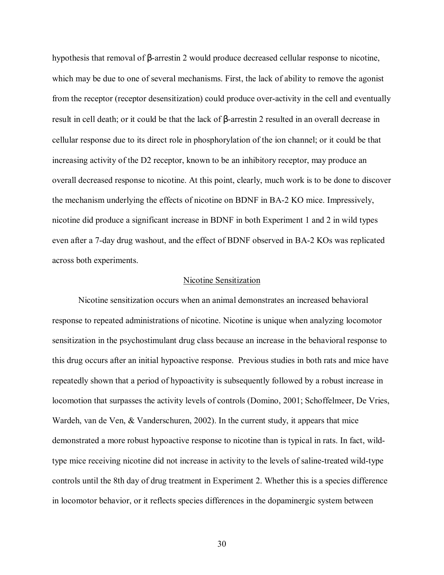hypothesis that removal of β-arrestin 2 would produce decreased cellular response to nicotine, which may be due to one of several mechanisms. First, the lack of ability to remove the agonist from the receptor (receptor desensitization) could produce over-activity in the cell and eventually result in cell death; or it could be that the lack of β-arrestin 2 resulted in an overall decrease in cellular response due to its direct role in phosphorylation of the ion channel; or it could be that increasing activity of the D2 receptor, known to be an inhibitory receptor, may produce an overall decreased response to nicotine. At this point, clearly, much work is to be done to discover the mechanism underlying the effects of nicotine on BDNF in BA-2 KO mice. Impressively, nicotine did produce a significant increase in BDNF in both Experiment 1 and 2 in wild types even after a 7-day drug washout, and the effect of BDNF observed in BA-2 KOs was replicated across both experiments.

#### Nicotine Sensitization

Nicotine sensitization occurs when an animal demonstrates an increased behavioral response to repeated administrations of nicotine. Nicotine is unique when analyzing locomotor sensitization in the psychostimulant drug class because an increase in the behavioral response to this drug occurs after an initial hypoactive response. Previous studies in both rats and mice have repeatedly shown that a period of hypoactivity is subsequently followed by a robust increase in locomotion that surpasses the activity levels of controls (Domino, 2001; Schoffelmeer, De Vries, Wardeh, van de Ven, & Vanderschuren, 2002). In the current study, it appears that mice demonstrated a more robust hypoactive response to nicotine than is typical in rats. In fact, wildtype mice receiving nicotine did not increase in activity to the levels of saline-treated wild-type controls until the 8th day of drug treatment in Experiment 2. Whether this is a species difference in locomotor behavior, or it reflects species differences in the dopaminergic system between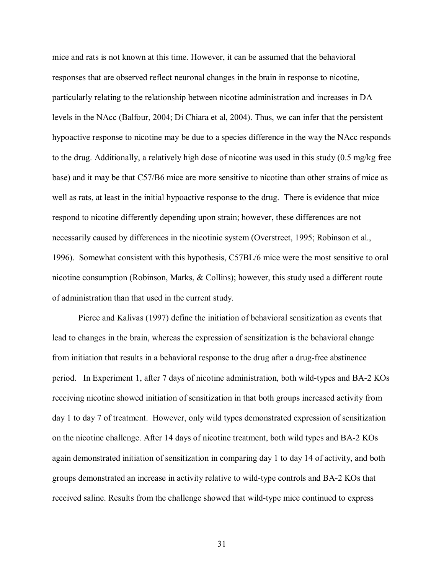mice and rats is not known at this time. However, it can be assumed that the behavioral responses that are observed reflect neuronal changes in the brain in response to nicotine, particularly relating to the relationship between nicotine administration and increases in DA levels in the NAcc (Balfour, 2004; Di Chiara et al, 2004). Thus, we can infer that the persistent hypoactive response to nicotine may be due to a species difference in the way the NAcc responds to the drug. Additionally, a relatively high dose of nicotine was used in this study (0.5 mg/kg free base) and it may be that C57/B6 mice are more sensitive to nicotine than other strains of mice as well as rats, at least in the initial hypoactive response to the drug. There is evidence that mice respond to nicotine differently depending upon strain; however, these differences are not necessarily caused by differences in the nicotinic system (Overstreet, 1995; Robinson et al., 1996). Somewhat consistent with this hypothesis, C57BL/6 mice were the most sensitive to oral nicotine consumption (Robinson, Marks, & Collins); however, this study used a different route of administration than that used in the current study.

Pierce and Kalivas (1997) define the initiation of behavioral sensitization as events that lead to changes in the brain, whereas the expression of sensitization is the behavioral change from initiation that results in a behavioral response to the drug after a drug-free abstinence period. In Experiment 1, after 7 days of nicotine administration, both wild-types and BA-2 KOs receiving nicotine showed initiation of sensitization in that both groups increased activity from day 1 to day 7 of treatment. However, only wild types demonstrated expression of sensitization on the nicotine challenge. After 14 days of nicotine treatment, both wild types and BA-2 KOs again demonstrated initiation of sensitization in comparing day 1 to day 14 of activity, and both groups demonstrated an increase in activity relative to wild-type controls and BA-2 KOs that received saline. Results from the challenge showed that wild-type mice continued to express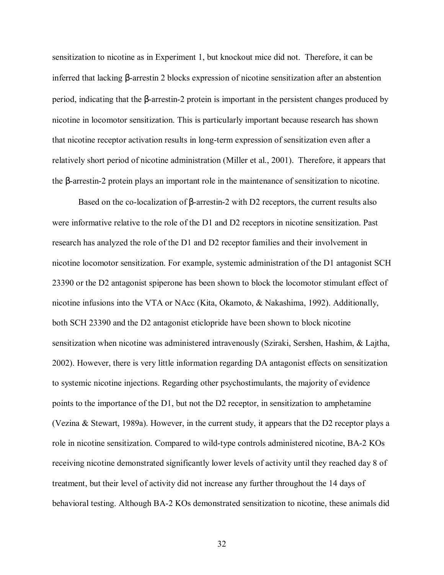sensitization to nicotine as in Experiment 1, but knockout mice did not. Therefore, it can be inferred that lacking β-arrestin 2 blocks expression of nicotine sensitization after an abstention period, indicating that the β-arrestin-2 protein is important in the persistent changes produced by nicotine in locomotor sensitization. This is particularly important because research has shown that nicotine receptor activation results in long-term expression of sensitization even after a relatively short period of nicotine administration (Miller et al., 2001). Therefore, it appears that the β-arrestin-2 protein plays an important role in the maintenance of sensitization to nicotine.

 Based on the co-localization of β-arrestin-2 with D2 receptors, the current results also were informative relative to the role of the D1 and D2 receptors in nicotine sensitization. Past research has analyzed the role of the D1 and D2 receptor families and their involvement in nicotine locomotor sensitization. For example, systemic administration of the D1 antagonist SCH 23390 or the D2 antagonist spiperone has been shown to block the locomotor stimulant effect of nicotine infusions into the VTA or NAcc (Kita, Okamoto, & Nakashima, 1992). Additionally, both SCH 23390 and the D2 antagonist eticlopride have been shown to block nicotine sensitization when nicotine was administered intravenously (Sziraki, Sershen, Hashim, & Lajtha, 2002). However, there is very little information regarding DA antagonist effects on sensitization to systemic nicotine injections. Regarding other psychostimulants, the majority of evidence points to the importance of the D1, but not the D2 receptor, in sensitization to amphetamine (Vezina & Stewart, 1989a). However, in the current study, it appears that the D2 receptor plays a role in nicotine sensitization. Compared to wild-type controls administered nicotine, BA-2 KOs receiving nicotine demonstrated significantly lower levels of activity until they reached day 8 of treatment, but their level of activity did not increase any further throughout the 14 days of behavioral testing. Although BA-2 KOs demonstrated sensitization to nicotine, these animals did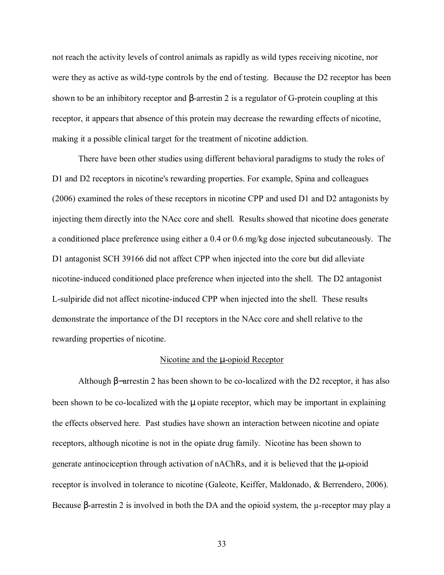not reach the activity levels of control animals as rapidly as wild types receiving nicotine, nor were they as active as wild-type controls by the end of testing. Because the D2 receptor has been shown to be an inhibitory receptor and β-arrestin 2 is a regulator of G-protein coupling at this receptor, it appears that absence of this protein may decrease the rewarding effects of nicotine, making it a possible clinical target for the treatment of nicotine addiction.

 There have been other studies using different behavioral paradigms to study the roles of D1 and D2 receptors in nicotine's rewarding properties. For example, Spina and colleagues (2006) examined the roles of these receptors in nicotine CPP and used D1 and D2 antagonists by injecting them directly into the NAcc core and shell. Results showed that nicotine does generate a conditioned place preference using either a 0.4 or 0.6 mg/kg dose injected subcutaneously. The D1 antagonist SCH 39166 did not affect CPP when injected into the core but did alleviate nicotine-induced conditioned place preference when injected into the shell. The D2 antagonist L-sulpiride did not affect nicotine-induced CPP when injected into the shell. These results demonstrate the importance of the D1 receptors in the NAcc core and shell relative to the rewarding properties of nicotine.

#### Nicotine and the  $\mu$ -opioid Receptor

 Although β−arrestin 2 has been shown to be co-localized with the D2 receptor, it has also been shown to be co-localized with the  $\mu$  opiate receptor, which may be important in explaining the effects observed here. Past studies have shown an interaction between nicotine and opiate receptors, although nicotine is not in the opiate drug family. Nicotine has been shown to generate antinociception through activation of nAChRs, and it is believed that the µ-opioid receptor is involved in tolerance to nicotine (Galeote, Keiffer, Maldonado, & Berrendero, 2006). Because β-arrestin 2 is involved in both the DA and the opioid system, the µ-receptor may play a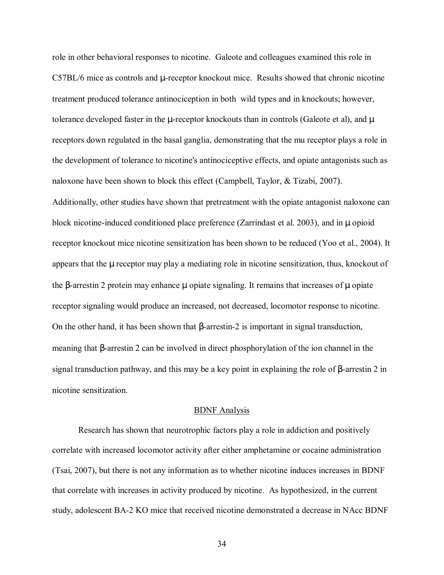role in other behavioral responses to nicotine. Galeote and colleagues examined this role in C57BL/6 mice as controls and µ-receptor knockout mice. Results showed that chronic nicotine treatment produced tolerance antinociception in both wild types and in knockouts; however, tolerance developed faster in the  $\mu$ -receptor knockouts than in controls (Galeote et al), and  $\mu$ receptors down regulated in the basal ganglia, demonstrating that the mu receptor plays a role in the development of tolerance to nicotine's antinociceptive effects, and opiate antagonists such as naloxone have been shown to block this effect (Campbell, Taylor, & Tizabi, 2007). Additionally, other studies have shown that pretreatment with the opiate antagonist naloxone can block nicotine-induced conditioned place preference (Zarrindast et al. 2003), and in µ opioid receptor knockout mice nicotine sensitization has been shown to be reduced (Yoo et al., 2004). It appears that the µ receptor may play a mediating role in nicotine sensitization, thus, knockout of the β-arrestin 2 protein may enhance μ opiate signaling. It remains that increases of μ opiate receptor signaling would produce an increased, not decreased, locomotor response to nicotine. On the other hand, it has been shown that β-arrestin-2 is important in signal transduction, meaning that β-arrestin 2 can be involved in direct phosphorylation of the ion channel in the signal transduction pathway, and this may be a key point in explaining the role of β-arrestin 2 in nicotine sensitization.

#### BDNF Analysis

 Research has shown that neurotrophic factors play a role in addiction and positively correlate with increased locomotor activity after either amphetamine or cocaine administration (Tsai, 2007), but there is not any information as to whether nicotine induces increases in BDNF that correlate with increases in activity produced by nicotine. As hypothesized, in the current study, adolescent BA-2 KO mice that received nicotine demonstrated a decrease in NAcc BDNF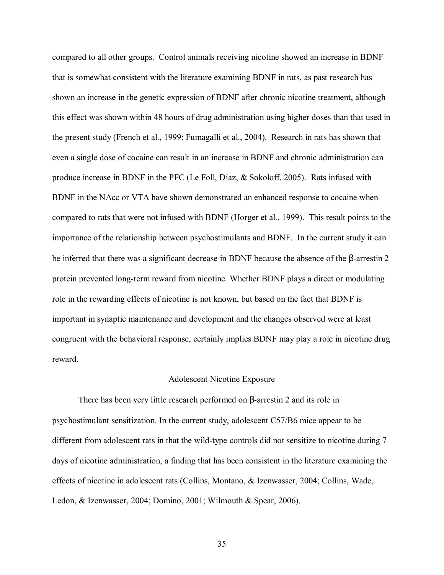compared to all other groups. Control animals receiving nicotine showed an increase in BDNF that is somewhat consistent with the literature examining BDNF in rats, as past research has shown an increase in the genetic expression of BDNF after chronic nicotine treatment, although this effect was shown within 48 hours of drug administration using higher doses than that used in the present study (French et al., 1999; Fumagalli et al., 2004). Research in rats has shown that even a single dose of cocaine can result in an increase in BDNF and chronic administration can produce increase in BDNF in the PFC (Le Foll, Diaz, & Sokoloff, 2005). Rats infused with BDNF in the NAcc or VTA have shown demonstrated an enhanced response to cocaine when compared to rats that were not infused with BDNF (Horger et al., 1999). This result points to the importance of the relationship between psychostimulants and BDNF. In the current study it can be inferred that there was a significant decrease in BDNF because the absence of the β-arrestin 2 protein prevented long-term reward from nicotine. Whether BDNF plays a direct or modulating role in the rewarding effects of nicotine is not known, but based on the fact that BDNF is important in synaptic maintenance and development and the changes observed were at least congruent with the behavioral response, certainly implies BDNF may play a role in nicotine drug reward.

#### Adolescent Nicotine Exposure

There has been very little research performed on β-arrestin 2 and its role in psychostimulant sensitization. In the current study, adolescent C57/B6 mice appear to be different from adolescent rats in that the wild-type controls did not sensitize to nicotine during 7 days of nicotine administration, a finding that has been consistent in the literature examining the effects of nicotine in adolescent rats (Collins, Montano, & Izenwasser, 2004; Collins, Wade, Ledon, & Izenwasser, 2004; Domino, 2001; Wilmouth & Spear, 2006).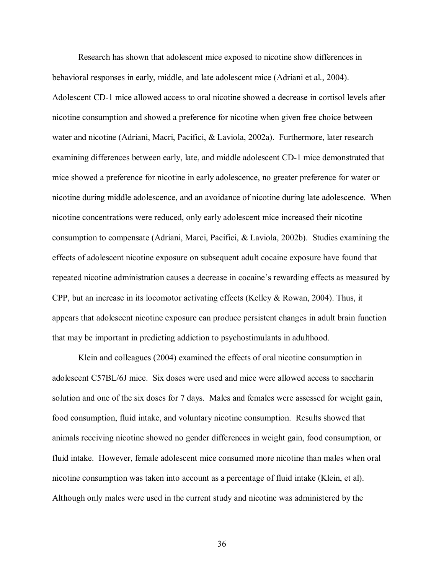Research has shown that adolescent mice exposed to nicotine show differences in behavioral responses in early, middle, and late adolescent mice (Adriani et al., 2004). Adolescent CD-1 mice allowed access to oral nicotine showed a decrease in cortisol levels after nicotine consumption and showed a preference for nicotine when given free choice between water and nicotine (Adriani, Macri, Pacifici, & Laviola, 2002a). Furthermore, later research examining differences between early, late, and middle adolescent CD-1 mice demonstrated that mice showed a preference for nicotine in early adolescence, no greater preference for water or nicotine during middle adolescence, and an avoidance of nicotine during late adolescence. When nicotine concentrations were reduced, only early adolescent mice increased their nicotine consumption to compensate (Adriani, Marci, Pacifici, & Laviola, 2002b). Studies examining the effects of adolescent nicotine exposure on subsequent adult cocaine exposure have found that repeated nicotine administration causes a decrease in cocaine's rewarding effects as measured by CPP, but an increase in its locomotor activating effects (Kelley & Rowan, 2004). Thus, it appears that adolescent nicotine exposure can produce persistent changes in adult brain function that may be important in predicting addiction to psychostimulants in adulthood.

Klein and colleagues (2004) examined the effects of oral nicotine consumption in adolescent C57BL/6J mice. Six doses were used and mice were allowed access to saccharin solution and one of the six doses for 7 days. Males and females were assessed for weight gain, food consumption, fluid intake, and voluntary nicotine consumption. Results showed that animals receiving nicotine showed no gender differences in weight gain, food consumption, or fluid intake. However, female adolescent mice consumed more nicotine than males when oral nicotine consumption was taken into account as a percentage of fluid intake (Klein, et al). Although only males were used in the current study and nicotine was administered by the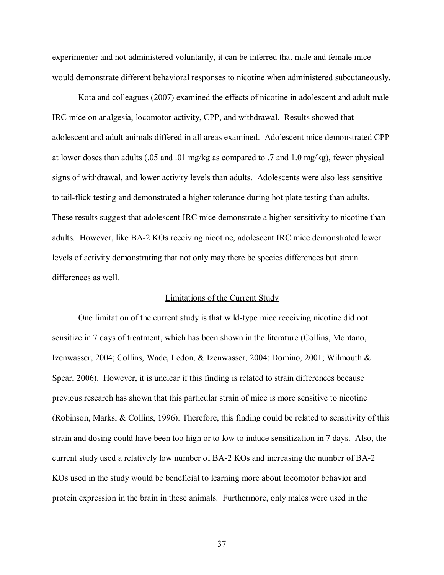experimenter and not administered voluntarily, it can be inferred that male and female mice would demonstrate different behavioral responses to nicotine when administered subcutaneously.

Kota and colleagues (2007) examined the effects of nicotine in adolescent and adult male IRC mice on analgesia, locomotor activity, CPP, and withdrawal. Results showed that adolescent and adult animals differed in all areas examined. Adolescent mice demonstrated CPP at lower doses than adults (.05 and .01 mg/kg as compared to .7 and 1.0 mg/kg), fewer physical signs of withdrawal, and lower activity levels than adults. Adolescents were also less sensitive to tail-flick testing and demonstrated a higher tolerance during hot plate testing than adults. These results suggest that adolescent IRC mice demonstrate a higher sensitivity to nicotine than adults. However, like BA-2 KOs receiving nicotine, adolescent IRC mice demonstrated lower levels of activity demonstrating that not only may there be species differences but strain differences as well.

#### Limitations of the Current Study

One limitation of the current study is that wild-type mice receiving nicotine did not sensitize in 7 days of treatment, which has been shown in the literature (Collins, Montano, Izenwasser, 2004; Collins, Wade, Ledon, & Izenwasser, 2004; Domino, 2001; Wilmouth & Spear, 2006). However, it is unclear if this finding is related to strain differences because previous research has shown that this particular strain of mice is more sensitive to nicotine (Robinson, Marks, & Collins, 1996). Therefore, this finding could be related to sensitivity of this strain and dosing could have been too high or to low to induce sensitization in 7 days. Also, the current study used a relatively low number of BA-2 KOs and increasing the number of BA-2 KOs used in the study would be beneficial to learning more about locomotor behavior and protein expression in the brain in these animals. Furthermore, only males were used in the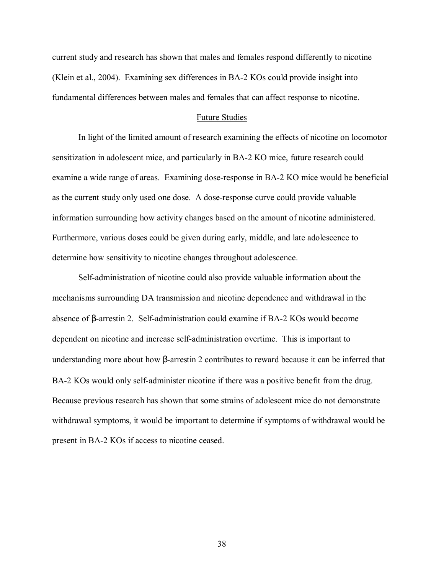current study and research has shown that males and females respond differently to nicotine (Klein et al., 2004). Examining sex differences in BA-2 KOs could provide insight into fundamental differences between males and females that can affect response to nicotine.

#### Future Studies

In light of the limited amount of research examining the effects of nicotine on locomotor sensitization in adolescent mice, and particularly in BA-2 KO mice, future research could examine a wide range of areas. Examining dose-response in BA-2 KO mice would be beneficial as the current study only used one dose. A dose-response curve could provide valuable information surrounding how activity changes based on the amount of nicotine administered. Furthermore, various doses could be given during early, middle, and late adolescence to determine how sensitivity to nicotine changes throughout adolescence.

Self-administration of nicotine could also provide valuable information about the mechanisms surrounding DA transmission and nicotine dependence and withdrawal in the absence of β-arrestin 2. Self-administration could examine if BA-2 KOs would become dependent on nicotine and increase self-administration overtime. This is important to understanding more about how β-arrestin 2 contributes to reward because it can be inferred that BA-2 KOs would only self-administer nicotine if there was a positive benefit from the drug. Because previous research has shown that some strains of adolescent mice do not demonstrate withdrawal symptoms, it would be important to determine if symptoms of withdrawal would be present in BA-2 KOs if access to nicotine ceased.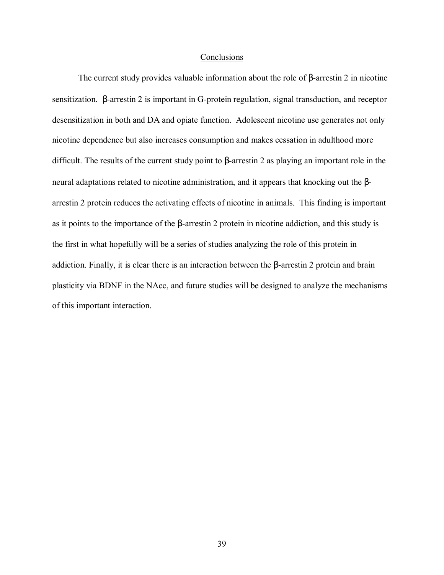#### Conclusions

The current study provides valuable information about the role of β-arrestin 2 in nicotine sensitization. β-arrestin 2 is important in G-protein regulation, signal transduction, and receptor desensitization in both and DA and opiate function. Adolescent nicotine use generates not only nicotine dependence but also increases consumption and makes cessation in adulthood more difficult. The results of the current study point to β-arrestin 2 as playing an important role in the neural adaptations related to nicotine administration, and it appears that knocking out the βarrestin 2 protein reduces the activating effects of nicotine in animals. This finding is important as it points to the importance of the β-arrestin 2 protein in nicotine addiction, and this study is the first in what hopefully will be a series of studies analyzing the role of this protein in addiction. Finally, it is clear there is an interaction between the β-arrestin 2 protein and brain plasticity via BDNF in the NAcc, and future studies will be designed to analyze the mechanisms of this important interaction.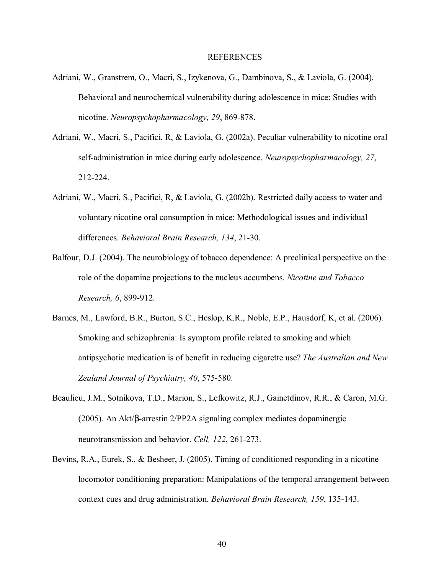#### REFERENCES

- Adriani, W., Granstrem, O., Macri, S., Izykenova, G., Dambinova, S., & Laviola, G. (2004). Behavioral and neurochemical vulnerability during adolescence in mice: Studies with nicotine. *Neuropsychopharmacology, 29*, 869-878.
- Adriani, W., Macri, S., Pacifici, R, & Laviola, G. (2002a). Peculiar vulnerability to nicotine oral self-administration in mice during early adolescence. *Neuropsychopharmacology, 27*, 212-224.
- Adriani, W., Macri, S., Pacifici, R, & Laviola, G. (2002b). Restricted daily access to water and voluntary nicotine oral consumption in mice: Methodological issues and individual differences. *Behavioral Brain Research, 134*, 21-30.
- Balfour, D.J. (2004). The neurobiology of tobacco dependence: A preclinical perspective on the role of the dopamine projections to the nucleus accumbens. *Nicotine and Tobacco Research, 6*, 899-912.
- Barnes, M., Lawford, B.R., Burton, S.C., Heslop, K.R., Noble, E.P., Hausdorf, K, et al. (2006). Smoking and schizophrenia: Is symptom profile related to smoking and which antipsychotic medication is of benefit in reducing cigarette use? *The Australian and New Zealand Journal of Psychiatry, 40*, 575-580.
- Beaulieu, J.M., Sotnikova, T.D., Marion, S., Lefkowitz, R.J., Gainetdinov, R.R., & Caron, M.G. (2005). An Akt/β-arrestin 2/PP2A signaling complex mediates dopaminergic neurotransmission and behavior. *Cell, 122*, 261-273.
- Bevins, R.A., Eurek, S., & Besheer, J. (2005). Timing of conditioned responding in a nicotine locomotor conditioning preparation: Manipulations of the temporal arrangement between context cues and drug administration. *Behavioral Brain Research, 159*, 135-143.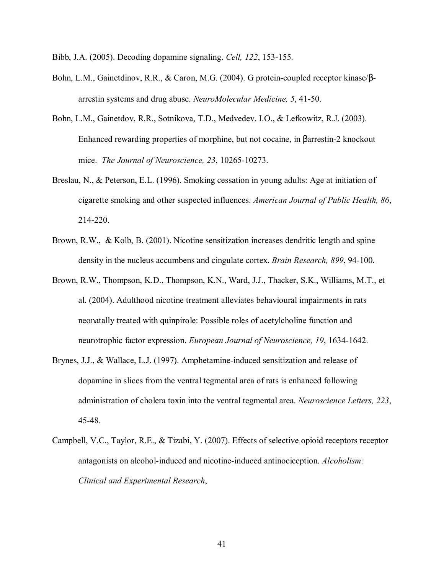Bibb, J.A. (2005). Decoding dopamine signaling. *Cell, 122*, 153-155.

- Bohn, L.M., Gainetdinov, R.R., & Caron, M.G. (2004). G protein-coupled receptor kinase/βarrestin systems and drug abuse. *NeuroMolecular Medicine, 5*, 41-50.
- Bohn, L.M., Gainetdov, R.R., Sotnikova, T.D., Medvedev, I.O., & Lefkowitz, R.J. (2003). Enhanced rewarding properties of morphine, but not cocaine, in βarrestin-2 knockout mice. *The Journal of Neuroscience, 23*, 10265-10273.
- Breslau, N., & Peterson, E.L. (1996). Smoking cessation in young adults: Age at initiation of cigarette smoking and other suspected influences. *American Journal of Public Health, 86*, 214-220.
- Brown, R.W., & Kolb, B. (2001). Nicotine sensitization increases dendritic length and spine density in the nucleus accumbens and cingulate cortex. *Brain Research, 899*, 94-100.
- Brown, R.W., Thompson, K.D., Thompson, K.N., Ward, J.J., Thacker, S.K., Williams, M.T., et al. (2004). Adulthood nicotine treatment alleviates behavioural impairments in rats neonatally treated with quinpirole: Possible roles of acetylcholine function and neurotrophic factor expression. *European Journal of Neuroscience, 19*, 1634-1642.
- Brynes, J.J., & Wallace, L.J. (1997). Amphetamine-induced sensitization and release of dopamine in slices from the ventral tegmental area of rats is enhanced following administration of cholera toxin into the ventral tegmental area. *Neuroscience Letters, 223*, 45-48.
- Campbell, V.C., Taylor, R.E., & Tizabi, Y. (2007). Effects of selective opioid receptors receptor antagonists on alcohol-induced and nicotine-induced antinociception. *Alcoholism: Clinical and Experimental Research*,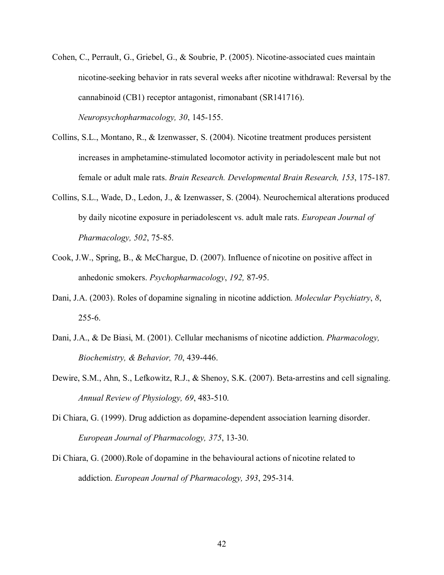- Cohen, C., Perrault, G., Griebel, G., & Soubrie, P. (2005). Nicotine-associated cues maintain nicotine-seeking behavior in rats several weeks after nicotine withdrawal: Reversal by the cannabinoid (CB1) receptor antagonist, rimonabant (SR141716). *Neuropsychopharmacology, 30*, 145-155.
- Collins, S.L., Montano, R., & Izenwasser, S. (2004). Nicotine treatment produces persistent increases in amphetamine-stimulated locomotor activity in periadolescent male but not female or adult male rats. *Brain Research. Developmental Brain Research, 153*, 175-187.
- Collins, S.L., Wade, D., Ledon, J., & Izenwasser, S. (2004). Neurochemical alterations produced by daily nicotine exposure in periadolescent vs. adult male rats. *European Journal of Pharmacology, 502*, 75-85.
- Cook, J.W., Spring, B., & McChargue, D. (2007). Influence of nicotine on positive affect in anhedonic smokers. *Psychopharmacology*, *192,* 87-95.
- Dani, J.A. (2003). Roles of dopamine signaling in nicotine addiction. *Molecular Psychiatry*, *8*, 255-6.
- Dani, J.A., & De Biasi, M. (2001). Cellular mechanisms of nicotine addiction. *Pharmacology, Biochemistry, & Behavior, 70*, 439-446.
- Dewire, S.M., Ahn, S., Lefkowitz, R.J., & Shenoy, S.K. (2007). Beta-arrestins and cell signaling. *Annual Review of Physiology, 69*, 483-510.
- Di Chiara, G. (1999). Drug addiction as dopamine-dependent association learning disorder. *European Journal of Pharmacology, 375*, 13-30.
- Di Chiara, G. (2000).Role of dopamine in the behavioural actions of nicotine related to addiction. *European Journal of Pharmacology, 393*, 295-314.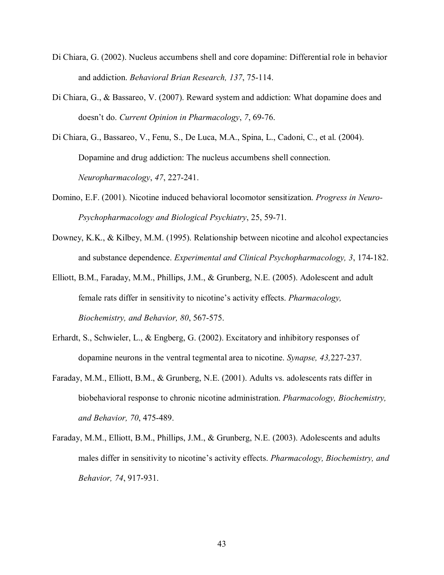- Di Chiara, G. (2002). Nucleus accumbens shell and core dopamine: Differential role in behavior and addiction. *Behavioral Brian Research, 137*, 75-114.
- Di Chiara, G., & Bassareo, V. (2007). Reward system and addiction: What dopamine does and doesnít do. *Current Opinion in Pharmacology*, *7*, 69-76.
- Di Chiara, G., Bassareo, V., Fenu, S., De Luca, M.A., Spina, L., Cadoni, C., et al. (2004). Dopamine and drug addiction: The nucleus accumbens shell connection. *Neuropharmacology*, *47*, 227-241.
- Domino, E.F. (2001). Nicotine induced behavioral locomotor sensitization. *Progress in Neuro-Psychopharmacology and Biological Psychiatry*, 25, 59-71.
- Downey, K.K., & Kilbey, M.M. (1995). Relationship between nicotine and alcohol expectancies and substance dependence. *Experimental and Clinical Psychopharmacology, 3*, 174-182.
- Elliott, B.M., Faraday, M.M., Phillips, J.M., & Grunberg, N.E. (2005). Adolescent and adult female rats differ in sensitivity to nicotine's activity effects. *Pharmacology*, *Biochemistry, and Behavior, 80*, 567-575.
- Erhardt, S., Schwieler, L., & Engberg, G. (2002). Excitatory and inhibitory responses of dopamine neurons in the ventral tegmental area to nicotine. *Synapse, 43,*227-237.
- Faraday, M.M., Elliott, B.M., & Grunberg, N.E. (2001). Adults vs. adolescents rats differ in biobehavioral response to chronic nicotine administration. *Pharmacology, Biochemistry, and Behavior, 70*, 475-489.
- Faraday, M.M., Elliott, B.M., Phillips, J.M., & Grunberg, N.E. (2003). Adolescents and adults males differ in sensitivity to nicotine's activity effects. *Pharmacology, Biochemistry, and Behavior, 74*, 917-931.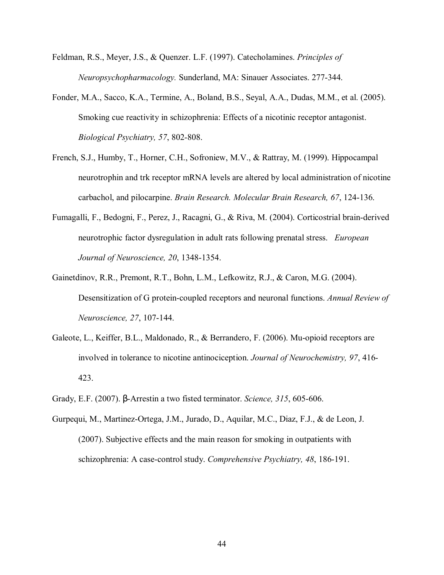- Feldman, R.S., Meyer, J.S., & Quenzer. L.F. (1997). Catecholamines. *Principles of Neuropsychopharmacology.* Sunderland, MA: Sinauer Associates. 277-344.
- Fonder, M.A., Sacco, K.A., Termine, A., Boland, B.S., Seyal, A.A., Dudas, M.M., et al. (2005). Smoking cue reactivity in schizophrenia: Effects of a nicotinic receptor antagonist. *Biological Psychiatry, 57*, 802-808.
- French, S.J., Humby, T., Horner, C.H., Sofroniew, M.V., & Rattray, M. (1999). Hippocampal neurotrophin and trk receptor mRNA levels are altered by local administration of nicotine carbachol, and pilocarpine. *Brain Research. Molecular Brain Research, 67*, 124-136.
- Fumagalli, F., Bedogni, F., Perez, J., Racagni, G., & Riva, M. (2004). Corticostrial brain-derived neurotrophic factor dysregulation in adult rats following prenatal stress. *European Journal of Neuroscience, 20*, 1348-1354.
- Gainetdinov, R.R., Premont, R.T., Bohn, L.M., Lefkowitz, R.J., & Caron, M.G. (2004). Desensitization of G protein-coupled receptors and neuronal functions. *Annual Review of Neuroscience, 27*, 107-144.
- Galeote, L., Keiffer, B.L., Maldonado, R., & Berrandero, F. (2006). Mu-opioid receptors are involved in tolerance to nicotine antinociception. *Journal of Neurochemistry, 97*, 416- 423.
- Grady, E.F. (2007). β-Arrestin a two fisted terminator. *Science, 315*, 605-606.
- Gurpequi, M., Martinez-Ortega, J.M., Jurado, D., Aquilar, M.C., Diaz, F.J., & de Leon, J. (2007). Subjective effects and the main reason for smoking in outpatients with schizophrenia: A case-control study. *Comprehensive Psychiatry, 48*, 186-191.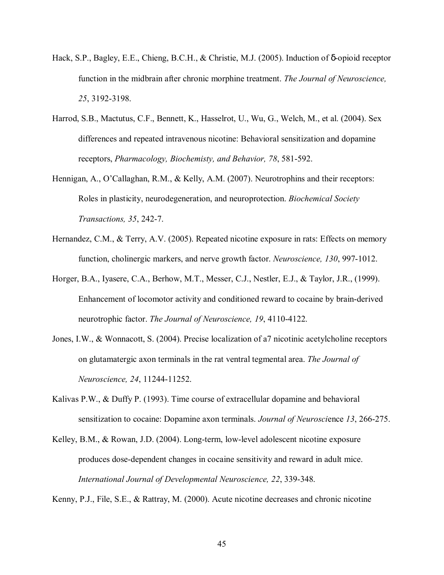- Hack, S.P., Bagley, E.E., Chieng, B.C.H., & Christie, M.J. (2005). Induction of δ-opioid receptor function in the midbrain after chronic morphine treatment. *The Journal of Neuroscience, 25*, 3192-3198.
- Harrod, S.B., Mactutus, C.F., Bennett, K., Hasselrot, U., Wu, G., Welch, M., et al. (2004). Sex differences and repeated intravenous nicotine: Behavioral sensitization and dopamine receptors, *Pharmacology, Biochemisty, and Behavior, 78*, 581-592.
- Hennigan, A., O'Callaghan, R.M., & Kelly, A.M. (2007). Neurotrophins and their receptors: Roles in plasticity, neurodegeneration, and neuroprotection. *Biochemical Society Transactions, 35*, 242-7.
- Hernandez, C.M., & Terry, A.V. (2005). Repeated nicotine exposure in rats: Effects on memory function, cholinergic markers, and nerve growth factor. *Neuroscience, 130*, 997-1012.
- Horger, B.A., Iyasere, C.A., Berhow, M.T., Messer, C.J., Nestler, E.J., & Taylor, J.R., (1999). Enhancement of locomotor activity and conditioned reward to cocaine by brain-derived neurotrophic factor. *The Journal of Neuroscience, 19*, 4110-4122.
- Jones, I.W., & Wonnacott, S. (2004). Precise localization of a7 nicotinic acetylcholine receptors on glutamatergic axon terminals in the rat ventral tegmental area. *The Journal of Neuroscience, 24*, 11244-11252.
- Kalivas P.W., & Duffy P. (1993). Time course of extracellular dopamine and behavioral sensitization to cocaine: Dopamine axon terminals. *Journal of Neurosci*ence *13*, 266-275.
- Kelley, B.M., & Rowan, J.D. (2004). Long-term, low-level adolescent nicotine exposure produces dose-dependent changes in cocaine sensitivity and reward in adult mice. *International Journal of Developmental Neuroscience, 22*, 339-348.

Kenny, P.J., File, S.E., & Rattray, M. (2000). Acute nicotine decreases and chronic nicotine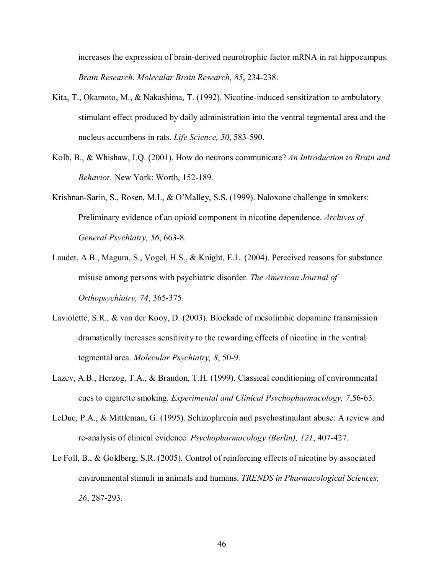increases the expression of brain-derived neurotrophic factor mRNA in rat hippocampus. *Brain Research. Molecular Brain Research, 85*, 234-238.

- Kita, T., Okamoto, M., & Nakashima, T. (1992). Nicotine-induced sensitization to ambulatory stimulant effect produced by daily administration into the ventral tegmental area and the nucleus accumbens in rats. *Life Science, 50*, 583-590.
- Kolb, B., & Whishaw, I.Q. (2001). How do neurons communicate? *An Introduction to Brain and Behavior.* New York: Worth, 152-189.
- Krishnan-Sarin, S., Rosen, M.I., & O'Malley, S.S. (1999). Naloxone challenge in smokers: Preliminary evidence of an opioid component in nicotine dependence. *Archives of General Psychiatry, 56*, 663-8.
- Laudet, A.B., Magura, S., Vogel, H.S., & Knight, E.L. (2004). Perceived reasons for substance misuse among persons with psychiatric disorder. *The American Journal of Orthopsychiatry, 74*, 365-375.
- Laviolette, S.R., & van der Kooy, D. (2003). Blockade of mesolimbic dopamine transmission dramatically increases sensitivity to the rewarding effects of nicotine in the ventral tegmental area. *Molecular Psychiatry, 8*, 50-9.
- Lazev, A.B., Herzog, T.A., & Brandon, T.H. (1999). Classical conditioning of environmental cues to cigarette smoking. *Experimental and Clinical Psychopharmacology, 7*,56-63.
- LeDuc, P.A., & Mittleman, G. (1995). Schizophrenia and psychostimulant abuse: A review and re-analysis of clinical evidence. *Psychopharmacology (Berlin), 121*, 407-427.
- Le Foll, B., & Goldberg, S.R. (2005). Control of reinforcing effects of nicotine by associated environmental stimuli in animals and humans. *TRENDS in Pharmacological Sciences, 26*, 287-293.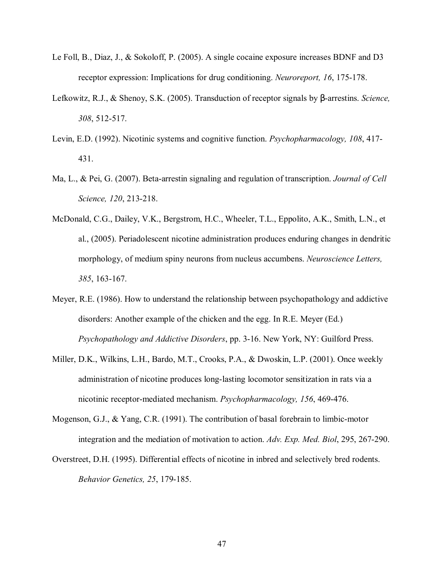- Le Foll, B., Diaz, J., & Sokoloff, P. (2005). A single cocaine exposure increases BDNF and D3 receptor expression: Implications for drug conditioning. *Neuroreport, 16*, 175-178.
- Lefkowitz, R.J., & Shenoy, S.K. (2005). Transduction of receptor signals by β-arrestins. *Science, 308*, 512-517.
- Levin, E.D. (1992). Nicotinic systems and cognitive function. *Psychopharmacology, 108*, 417- 431.
- Ma, L., & Pei, G. (2007). Beta-arrestin signaling and regulation of transcription. *Journal of Cell Science, 120*, 213-218.
- McDonald, C.G., Dailey, V.K., Bergstrom, H.C., Wheeler, T.L., Eppolito, A.K., Smith, L.N., et al., (2005). Periadolescent nicotine administration produces enduring changes in dendritic morphology, of medium spiny neurons from nucleus accumbens. *Neuroscience Letters, 385*, 163-167.
- Meyer, R.E. (1986). How to understand the relationship between psychopathology and addictive disorders: Another example of the chicken and the egg. In R.E. Meyer (Ed.) *Psychopathology and Addictive Disorders*, pp. 3-16. New York, NY: Guilford Press.
- Miller, D.K., Wilkins, L.H., Bardo, M.T., Crooks, P.A., & Dwoskin, L.P. (2001). Once weekly administration of nicotine produces long-lasting locomotor sensitization in rats via a nicotinic receptor-mediated mechanism. *Psychopharmacology, 156*, 469-476.
- Mogenson, G.J., & Yang, C.R. (1991). The contribution of basal forebrain to limbic-motor integration and the mediation of motivation to action. *Adv. Exp. Med. Biol*, 295, 267-290.
- Overstreet, D.H. (1995). Differential effects of nicotine in inbred and selectively bred rodents. *Behavior Genetics, 25*, 179-185.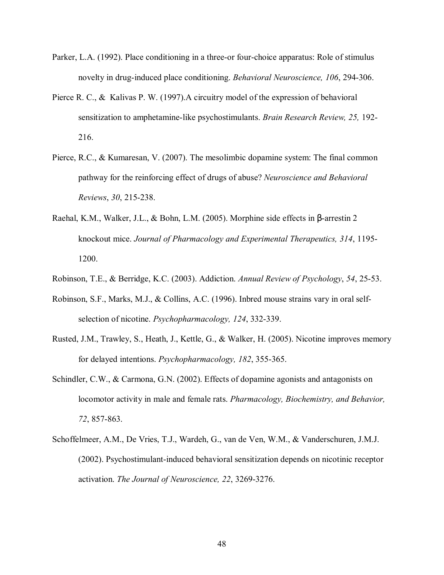- Parker, L.A. (1992). Place conditioning in a three-or four-choice apparatus: Role of stimulus novelty in drug-induced place conditioning. *Behavioral Neuroscience, 106*, 294-306.
- Pierce R. C., & Kalivas P. W. (1997).A circuitry model of the expression of behavioral sensitization to amphetamine-like psychostimulants. *Brain Research Review, 25,* 192- 216.
- Pierce, R.C., & Kumaresan, V. (2007). The mesolimbic dopamine system: The final common pathway for the reinforcing effect of drugs of abuse? *Neuroscience and Behavioral Reviews*, *30*, 215-238.
- Raehal, K.M., Walker, J.L., & Bohn, L.M. (2005). Morphine side effects in β-arrestin 2 knockout mice. *Journal of Pharmacology and Experimental Therapeutics, 314*, 1195- 1200.
- Robinson, T.E., & Berridge, K.C. (2003). Addiction. *Annual Review of Psychology*, *54*, 25-53.
- Robinson, S.F., Marks, M.J., & Collins, A.C. (1996). Inbred mouse strains vary in oral selfselection of nicotine. *Psychopharmacology, 124*, 332-339.
- Rusted, J.M., Trawley, S., Heath, J., Kettle, G., & Walker, H. (2005). Nicotine improves memory for delayed intentions. *Psychopharmacology, 182*, 355-365.
- Schindler, C.W., & Carmona, G.N. (2002). Effects of dopamine agonists and antagonists on locomotor activity in male and female rats. *Pharmacology, Biochemistry, and Behavior, 72*, 857-863.
- Schoffelmeer, A.M., De Vries, T.J., Wardeh, G., van de Ven, W.M., & Vanderschuren, J.M.J. (2002). Psychostimulant-induced behavioral sensitization depends on nicotinic receptor activation. *The Journal of Neuroscience, 22*, 3269-3276.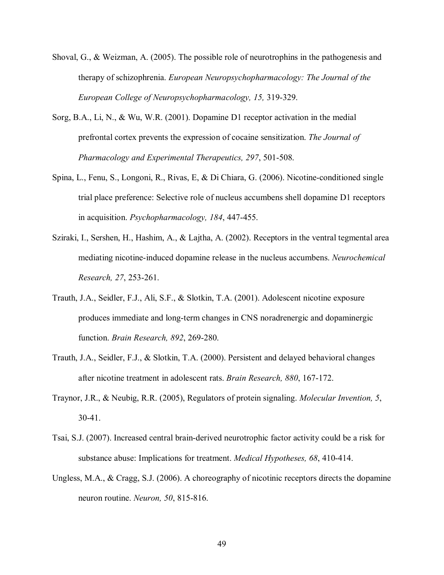- Shoval, G., & Weizman, A. (2005). The possible role of neurotrophins in the pathogenesis and therapy of schizophrenia. *European Neuropsychopharmacology: The Journal of the European College of Neuropsychopharmacology, 15,* 319-329.
- Sorg, B.A., Li, N., & Wu, W.R. (2001). Dopamine D1 receptor activation in the medial prefrontal cortex prevents the expression of cocaine sensitization. *The Journal of Pharmacology and Experimental Therapeutics, 297*, 501-508.
- Spina, L., Fenu, S., Longoni, R., Rivas, E, & Di Chiara, G. (2006). Nicotine-conditioned single trial place preference: Selective role of nucleus accumbens shell dopamine D1 receptors in acquisition. *Psychopharmacology, 184*, 447-455.
- Sziraki, I., Sershen, H., Hashim, A., & Lajtha, A. (2002). Receptors in the ventral tegmental area mediating nicotine-induced dopamine release in the nucleus accumbens. *Neurochemical Research, 27*, 253-261.
- Trauth, J.A., Seidler, F.J., Ali, S.F., & Slotkin, T.A. (2001). Adolescent nicotine exposure produces immediate and long-term changes in CNS noradrenergic and dopaminergic function. *Brain Research, 892*, 269-280.
- Trauth, J.A., Seidler, F.J., & Slotkin, T.A. (2000). Persistent and delayed behavioral changes after nicotine treatment in adolescent rats. *Brain Research, 880*, 167-172.
- Traynor, J.R., & Neubig, R.R. (2005), Regulators of protein signaling. *Molecular Invention, 5*, 30-41.
- Tsai, S.J. (2007). Increased central brain-derived neurotrophic factor activity could be a risk for substance abuse: Implications for treatment. *Medical Hypotheses, 68*, 410-414.
- Ungless, M.A., & Cragg, S.J. (2006). A choreography of nicotinic receptors directs the dopamine neuron routine. *Neuron, 50*, 815-816.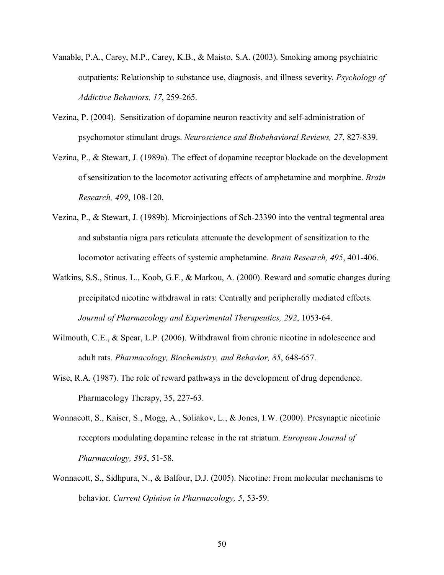- Vanable, P.A., Carey, M.P., Carey, K.B., & Maisto, S.A. (2003). Smoking among psychiatric outpatients: Relationship to substance use, diagnosis, and illness severity. *Psychology of Addictive Behaviors, 17*, 259-265.
- Vezina, P. (2004). Sensitization of dopamine neuron reactivity and self-administration of psychomotor stimulant drugs. *Neuroscience and Biobehavioral Reviews, 27*, 827-839.
- Vezina, P., & Stewart, J. (1989a). The effect of dopamine receptor blockade on the development of sensitization to the locomotor activating effects of amphetamine and morphine. *Brain Research, 499*, 108-120.
- Vezina, P., & Stewart, J. (1989b). Microinjections of Sch-23390 into the ventral tegmental area and substantia nigra pars reticulata attenuate the development of sensitization to the locomotor activating effects of systemic amphetamine. *Brain Research, 495*, 401-406.
- Watkins, S.S., Stinus, L., Koob, G.F., & Markou, A. (2000). Reward and somatic changes during precipitated nicotine withdrawal in rats: Centrally and peripherally mediated effects. *Journal of Pharmacology and Experimental Therapeutics, 292*, 1053-64.
- Wilmouth, C.E., & Spear, L.P. (2006). Withdrawal from chronic nicotine in adolescence and adult rats. *Pharmacology, Biochemistry, and Behavior, 85*, 648-657.
- Wise, R.A. (1987). The role of reward pathways in the development of drug dependence. Pharmacology Therapy, 35, 227-63.
- Wonnacott, S., Kaiser, S., Mogg, A., Soliakov, L., & Jones, I.W. (2000). Presynaptic nicotinic receptors modulating dopamine release in the rat striatum. *European Journal of Pharmacology, 393*, 51-58.
- Wonnacott, S., Sidhpura, N., & Balfour, D.J. (2005). Nicotine: From molecular mechanisms to behavior. *Current Opinion in Pharmacology, 5*, 53-59.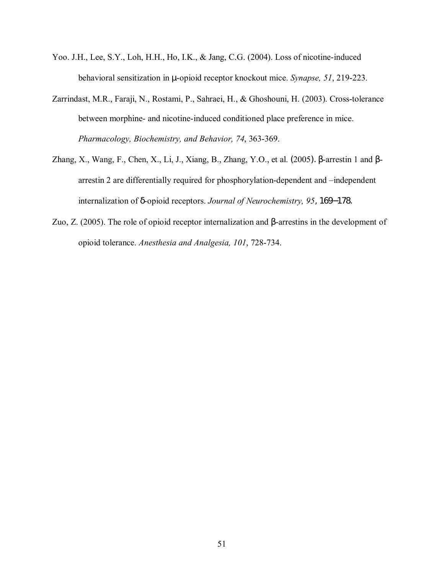- Yoo. J.H., Lee, S.Y., Loh, H.H., Ho, I.K., & Jang, C.G. (2004). Loss of nicotine-induced behavioral sensitization in µ-opioid receptor knockout mice. *Synapse, 51*, 219-223.
- Zarrindast, M.R., Faraji, N., Rostami, P., Sahraei, H., & Ghoshouni, H. (2003). Cross-tolerance between morphine- and nicotine-induced conditioned place preference in mice. *Pharmacology, Biochemistry, and Behavior, 74*, 363-369.
- Zhang, X., Wang, F., Chen, X., Li, J., Xiang, B., Zhang, Y.O., et al. (2005). β-arrestin 1 and βarrestin 2 are differentially required for phosphorylation-dependent and -independent internalization of δ-opioid receptors. *Journal of Neurochemistry, 95*, 169−178.
- Zuo, Z. (2005). The role of opioid receptor internalization and β-arrestins in the development of opioid tolerance. *Anesthesia and Analgesia, 101*, 728-734.